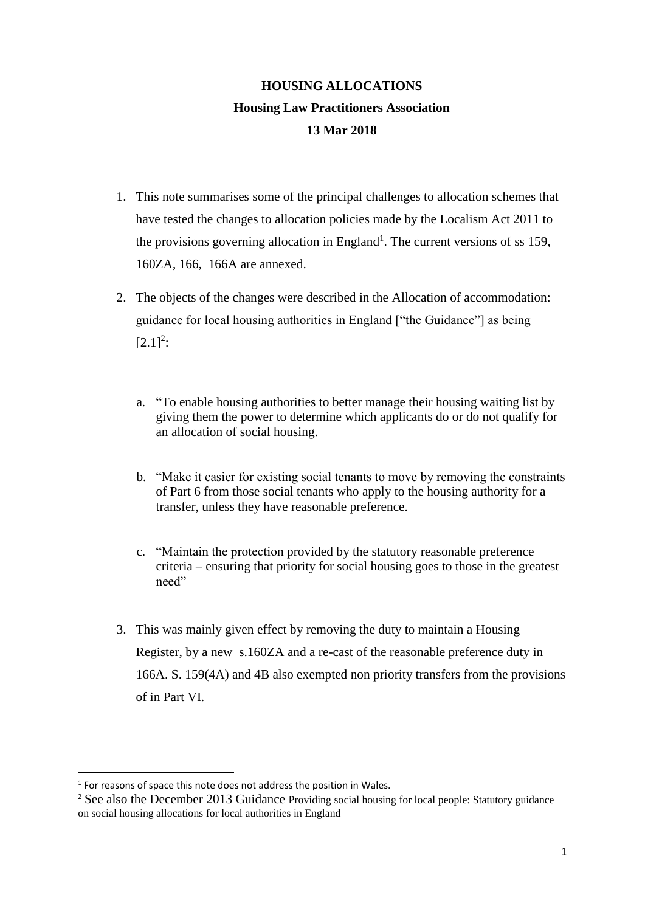# **HOUSING ALLOCATIONS Housing Law Practitioners Association 13 Mar 2018**

- 1. This note summarises some of the principal challenges to allocation schemes that have tested the changes to allocation policies made by the Localism Act 2011 to the provisions governing allocation in England<sup>1</sup>. The current versions of ss 159, 160ZA, 166, 166A are annexed.
- 2. The objects of the changes were described in the Allocation of accommodation: guidance for local housing authorities in England ["the Guidance"] as being  $[2.1]^{2}$ :
	- a. "To enable housing authorities to better manage their housing waiting list by giving them the power to determine which applicants do or do not qualify for an allocation of social housing.
	- b. "Make it easier for existing social tenants to move by removing the constraints of Part 6 from those social tenants who apply to the housing authority for a transfer, unless they have reasonable preference.
	- c. "Maintain the protection provided by the statutory reasonable preference criteria – ensuring that priority for social housing goes to those in the greatest need"
- 3. This was mainly given effect by removing the duty to maintain a Housing Register, by a new s.160ZA and a re-cast of the reasonable preference duty in 166A. S. 159(4A) and 4B also exempted non priority transfers from the provisions of in Part VI.

**.** 

<sup>&</sup>lt;sup>1</sup> For reasons of space this note does not address the position in Wales.

<sup>&</sup>lt;sup>2</sup> See also the December 2013 Guidance Providing social housing for local people: Statutory guidance on social housing allocations for local authorities in England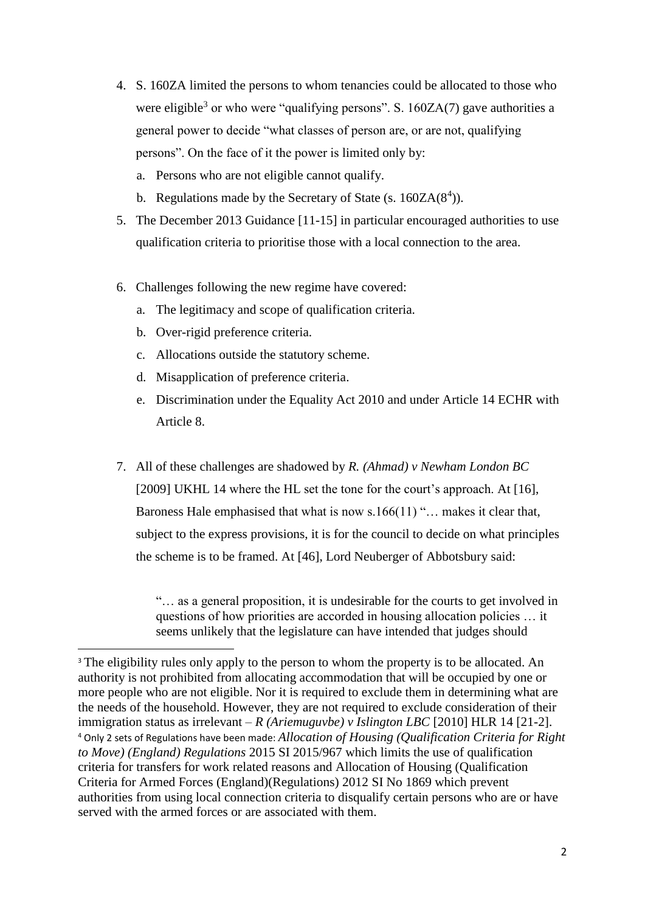- 4. S. 160ZA limited the persons to whom tenancies could be allocated to those who were eligible<sup>3</sup> or who were "qualifying persons". S.  $160ZA(7)$  gave authorities a general power to decide "what classes of person are, or are not, qualifying persons". On the face of it the power is limited only by:
	- a. Persons who are not eligible cannot qualify.
	- b. Regulations made by the Secretary of State (s.  $160ZA(8^4)$ ).
- 5. The December 2013 Guidance [11-15] in particular encouraged authorities to use qualification criteria to prioritise those with a local connection to the area.
- 6. Challenges following the new regime have covered:
	- a. The legitimacy and scope of qualification criteria.
	- b. Over-rigid preference criteria.

1

- c. Allocations outside the statutory scheme.
- d. Misapplication of preference criteria.
- e. Discrimination under the Equality Act 2010 and under Article 14 ECHR with Article 8.
- 7. All of these challenges are shadowed by *R. (Ahmad) v Newham London BC* [2009] UKHL 14 where the HL set the tone for the court's approach. At [16], Baroness Hale emphasised that what is now s.166(11) "... makes it clear that, subject to the express provisions, it is for the council to decide on what principles the scheme is to be framed. At [46], Lord Neuberger of Abbotsbury said:

"… as a general proposition, it is undesirable for the courts to get involved in questions of how priorities are accorded in housing allocation policies … it seems unlikely that the legislature can have intended that judges should

<sup>&</sup>lt;sup>3</sup> The eligibility rules only apply to the person to whom the property is to be allocated. An authority is not prohibited from allocating accommodation that will be occupied by one or more people who are not eligible. Nor it is required to exclude them in determining what are the needs of the household. However, they are not required to exclude consideration of their immigration status as irrelevant – *R (Ariemuguvbe) v Islington LBC* [2010] HLR 14 [21-2]. <sup>4</sup> Only 2 sets of Regulations have been made: *Allocation of Housing (Qualification Criteria for Right to Move) (England) Regulations* 2015 SI 2015/967 which limits the use of qualification criteria for transfers for work related reasons and Allocation of Housing (Qualification Criteria for Armed Forces (England)(Regulations) 2012 SI No 1869 which prevent authorities from using local connection criteria to disqualify certain persons who are or have served with the armed forces or are associated with them.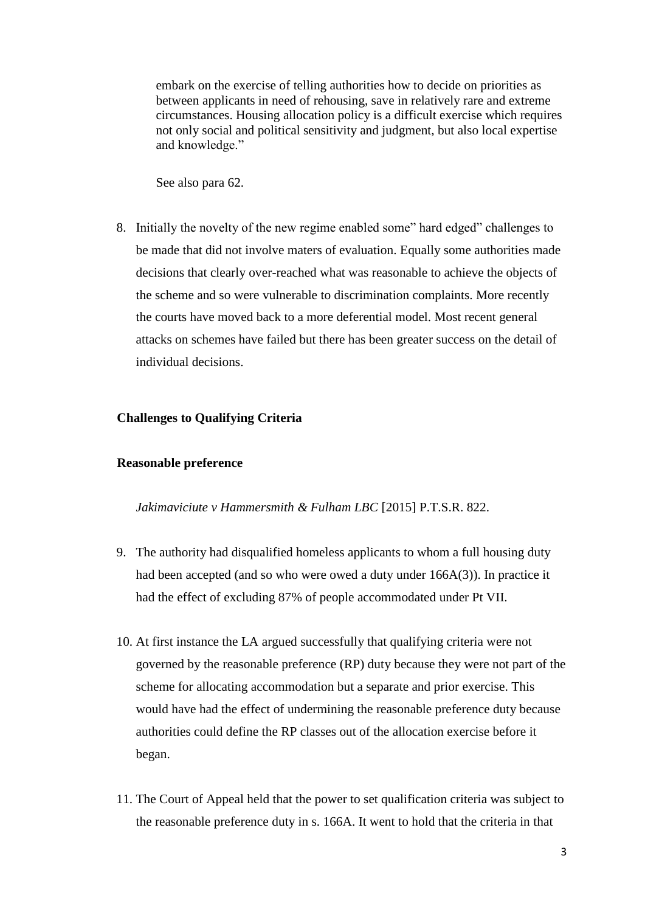embark on the exercise of telling authorities how to decide on priorities as between applicants in need of rehousing, save in relatively rare and extreme circumstances. Housing allocation policy is a difficult exercise which requires not only social and political sensitivity and judgment, but also local expertise and knowledge."

See also para 62.

8. Initially the novelty of the new regime enabled some" hard edged" challenges to be made that did not involve maters of evaluation. Equally some authorities made decisions that clearly over-reached what was reasonable to achieve the objects of the scheme and so were vulnerable to discrimination complaints. More recently the courts have moved back to a more deferential model. Most recent general attacks on schemes have failed but there has been greater success on the detail of individual decisions.

# **Challenges to Qualifying Criteria**

#### **Reasonable preference**

*Jakimaviciute v Hammersmith & Fulham LBC* [2015] P.T.S.R. 822.

- 9. The authority had disqualified homeless applicants to whom a full housing duty had been accepted (and so who were owed a duty under 166A(3)). In practice it had the effect of excluding 87% of people accommodated under Pt VII.
- 10. At first instance the LA argued successfully that qualifying criteria were not governed by the reasonable preference (RP) duty because they were not part of the scheme for allocating accommodation but a separate and prior exercise. This would have had the effect of undermining the reasonable preference duty because authorities could define the RP classes out of the allocation exercise before it began.
- 11. The Court of Appeal held that the power to set qualification criteria was subject to the reasonable preference duty in s. 166A. It went to hold that the criteria in that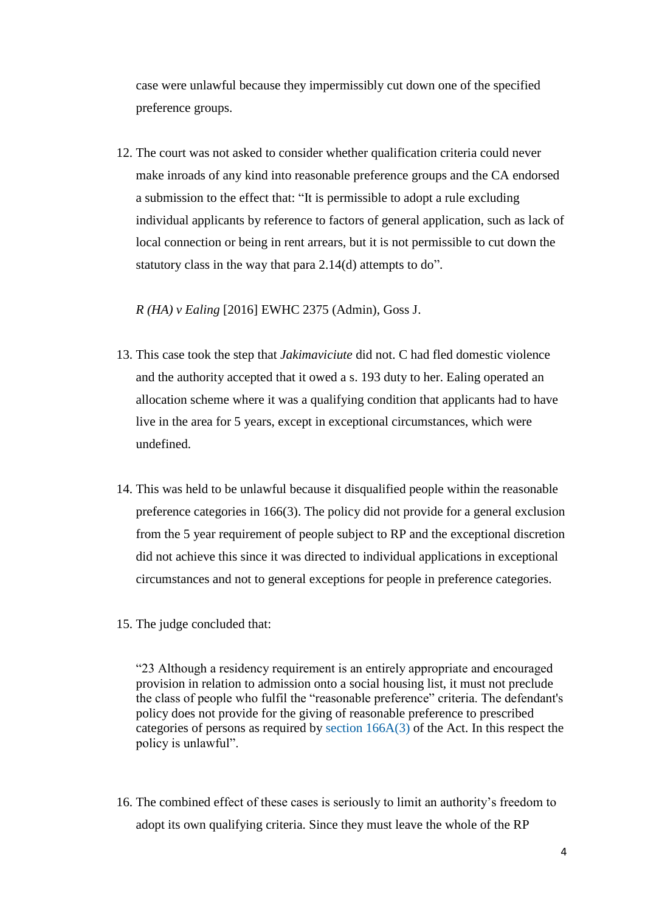case were unlawful because they impermissibly cut down one of the specified preference groups.

12. The court was not asked to consider whether qualification criteria could never make inroads of any kind into reasonable preference groups and the CA endorsed a submission to the effect that: "It is permissible to adopt a rule excluding individual applicants by reference to factors of general application, such as lack of local connection or being in rent arrears, but it is not permissible to cut down the statutory class in the way that para 2.14(d) attempts to do".

*R (HA) v Ealing* [2016] EWHC 2375 (Admin), Goss J.

- 13. This case took the step that *Jakimaviciute* did not. C had fled domestic violence and the authority accepted that it owed a s. 193 duty to her. Ealing operated an allocation scheme where it was a qualifying condition that applicants had to have live in the area for 5 years, except in exceptional circumstances, which were undefined.
- 14. This was held to be unlawful because it disqualified people within the reasonable preference categories in 166(3). The policy did not provide for a general exclusion from the 5 year requirement of people subject to RP and the exceptional discretion did not achieve this since it was directed to individual applications in exceptional circumstances and not to general exceptions for people in preference categories.
- 15. The judge concluded that:

"23 Although a residency requirement is an entirely appropriate and encouraged provision in relation to admission onto a social housing list, it must not preclude the class of people who fulfil the "reasonable preference" criteria. The defendant's policy does not provide for the giving of reasonable preference to prescribed categories of persons as required by [section 166A\(3\)](https://login.westlaw.co.uk/maf/wluk/app/document?src=doc&linktype=ref&context=22&crumb-action=replace&docguid=IEF08F2B0471211E18136D43B945F41CE) of the Act. In this respect the policy is unlawful".

16. The combined effect of these cases is seriously to limit an authority's freedom to adopt its own qualifying criteria. Since they must leave the whole of the RP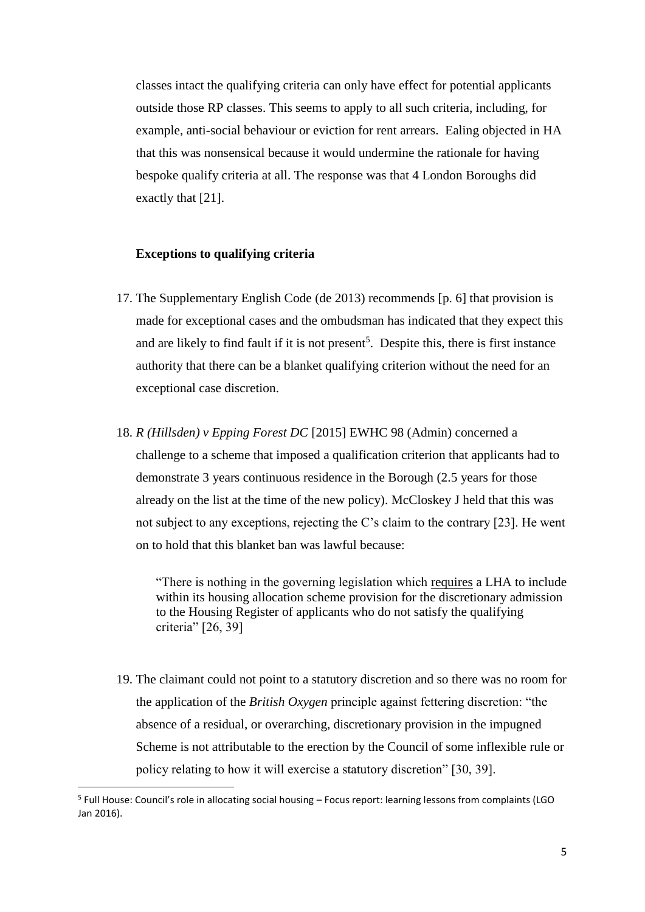classes intact the qualifying criteria can only have effect for potential applicants outside those RP classes. This seems to apply to all such criteria, including, for example, anti-social behaviour or eviction for rent arrears. Ealing objected in HA that this was nonsensical because it would undermine the rationale for having bespoke qualify criteria at all. The response was that 4 London Boroughs did exactly that [21].

#### **Exceptions to qualifying criteria**

- 17. The Supplementary English Code (de 2013) recommends [p. 6] that provision is made for exceptional cases and the ombudsman has indicated that they expect this and are likely to find fault if it is not present<sup>5</sup>. Despite this, there is first instance authority that there can be a blanket qualifying criterion without the need for an exceptional case discretion.
- 18. *R (Hillsden) v Epping Forest DC* [2015] EWHC 98 (Admin) concerned a challenge to a scheme that imposed a qualification criterion that applicants had to demonstrate 3 years continuous residence in the Borough (2.5 years for those already on the list at the time of the new policy). McCloskey J held that this was not subject to any exceptions, rejecting the C's claim to the contrary [23]. He went on to hold that this blanket ban was lawful because:

"There is nothing in the governing legislation which requires a LHA to include within its housing allocation scheme provision for the discretionary admission to the Housing Register of applicants who do not satisfy the qualifying criteria" [26, 39]

19. The claimant could not point to a statutory discretion and so there was no room for the application of the *British Oxygen* principle against fettering discretion: "the absence of a residual, or overarching, discretionary provision in the impugned Scheme is not attributable to the erection by the Council of some inflexible rule or policy relating to how it will exercise a statutory discretion" [30, 39].

 $\overline{\phantom{a}}$ 

<sup>5</sup> Full House: Council's role in allocating social housing – Focus report: learning lessons from complaints (LGO Jan 2016).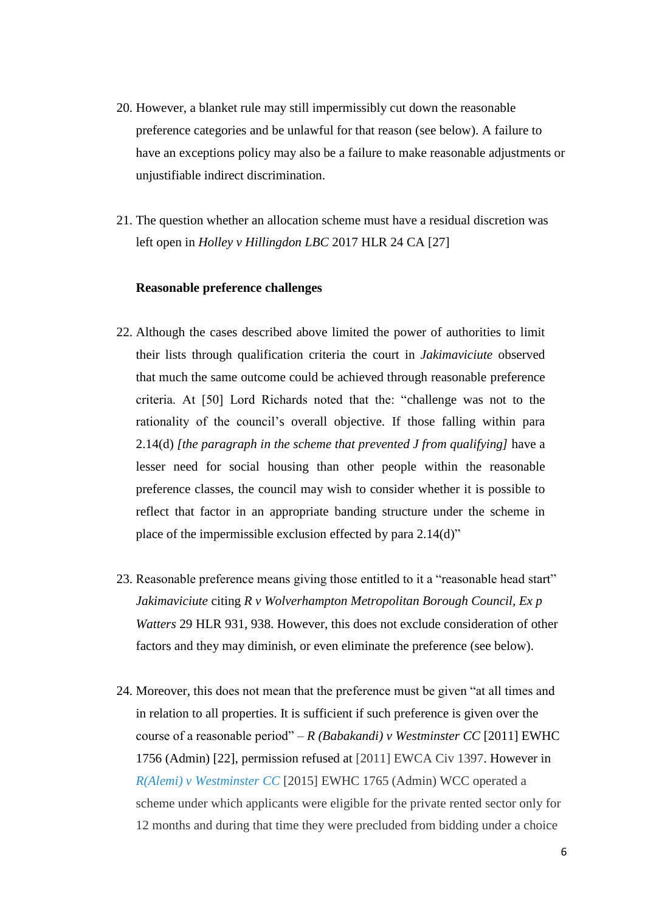- 20. However, a blanket rule may still impermissibly cut down the reasonable preference categories and be unlawful for that reason (see below). A failure to have an exceptions policy may also be a failure to make reasonable adjustments or unjustifiable indirect discrimination.
- 21. The question whether an allocation scheme must have a residual discretion was left open in *Holley v Hillingdon LBC* 2017 HLR 24 CA [27]

### **Reasonable preference challenges**

- 22. Although the cases described above limited the power of authorities to limit their lists through qualification criteria the court in *Jakimaviciute* observed that much the same outcome could be achieved through reasonable preference criteria. At [50] Lord Richards noted that the: "challenge was not to the rationality of the council's overall objective. If those falling within para 2.14(d) *[the paragraph in the scheme that prevented J from qualifying]* have a lesser need for social housing than other people within the reasonable preference classes, the council may wish to consider whether it is possible to reflect that factor in an appropriate banding structure under the scheme in place of the impermissible exclusion effected by para 2.14(d)"
- 23. Reasonable preference means giving those entitled to it a "reasonable head start" *Jakimaviciute* citing *R v Wolverhampton Metropolitan Borough Council, Ex p Watters* 29 HLR 931, 938. However, this does not exclude consideration of other factors and they may diminish, or even eliminate the preference (see below).
- 24. Moreover, this does not mean that the preference must be given "at all times and in relation to all properties. It is sufficient if such preference is given over the course of a reasonable period" – *R (Babakandi) v Westminster CC* [2011] EWHC 1756 (Admin) [22], permission refused at [2011] EWCA Civ 1397. However in *[R\(Alemi\) v Westminster CC](http://www.bailii.org/ew/cases/EWHC/Admin/2015/1765.html)* [2015] EWHC 1765 (Admin) WCC operated a scheme under which applicants were eligible for the private rented sector only for 12 months and during that time they were precluded from bidding under a choice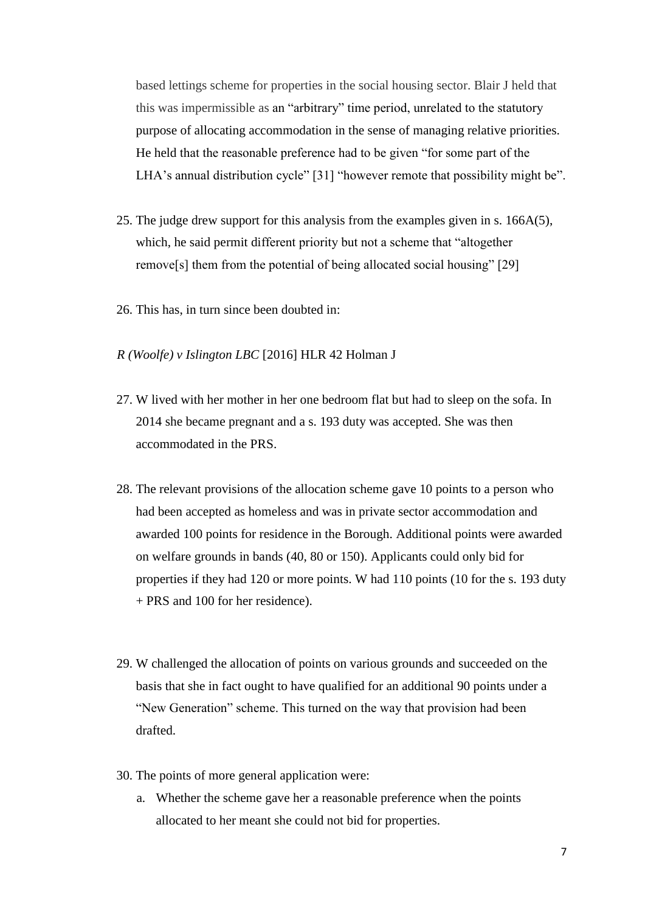based lettings scheme for properties in the social housing sector. Blair J held that this was impermissible as an "arbitrary" time period, unrelated to the statutory purpose of allocating accommodation in the sense of managing relative priorities. He held that the reasonable preference had to be given "for some part of the LHA's annual distribution cycle" [31] "however remote that possibility might be".

- 25. The judge drew support for this analysis from the examples given in s. 166A(5), which, he said permit different priority but not a scheme that "altogether remove[s] them from the potential of being allocated social housing" [29]
- 26. This has, in turn since been doubted in:
- *R (Woolfe) v Islington LBC* [2016] HLR 42 Holman J
- 27. W lived with her mother in her one bedroom flat but had to sleep on the sofa. In 2014 she became pregnant and a s. 193 duty was accepted. She was then accommodated in the PRS.
- 28. The relevant provisions of the allocation scheme gave 10 points to a person who had been accepted as homeless and was in private sector accommodation and awarded 100 points for residence in the Borough. Additional points were awarded on welfare grounds in bands (40, 80 or 150). Applicants could only bid for properties if they had 120 or more points. W had 110 points (10 for the s. 193 duty + PRS and 100 for her residence).
- 29. W challenged the allocation of points on various grounds and succeeded on the basis that she in fact ought to have qualified for an additional 90 points under a "New Generation" scheme. This turned on the way that provision had been drafted.
- 30. The points of more general application were:
	- a. Whether the scheme gave her a reasonable preference when the points allocated to her meant she could not bid for properties.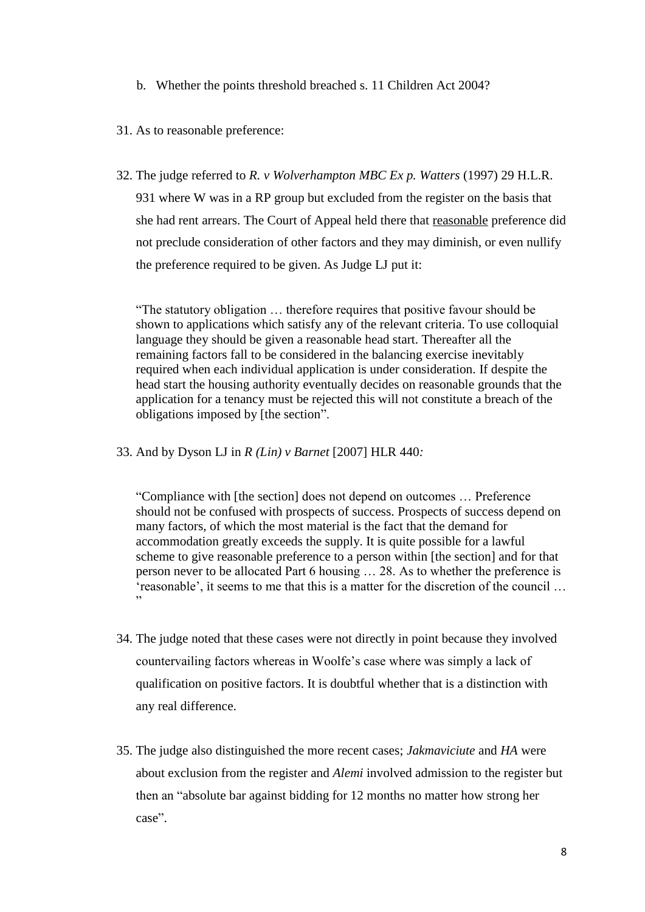b. Whether the points threshold breached s. 11 Children Act 2004?

#### 31. As to reasonable preference:

32. The judge referred to *R. v Wolverhampton MBC Ex p. Watters* (1997) 29 H.L.R. 931 where W was in a RP group but excluded from the register on the basis that she had rent arrears. The Court of Appeal held there that reasonable preference did not preclude consideration of other factors and they may diminish, or even nullify the preference required to be given. As Judge LJ put it:

"The statutory obligation … therefore requires that positive favour should be shown to applications which satisfy any of the relevant criteria. To use colloquial language they should be given a reasonable head start. Thereafter all the remaining factors fall to be considered in the balancing exercise inevitably required when each individual application is under consideration. If despite the head start the housing authority eventually decides on reasonable grounds that the application for a tenancy must be rejected this will not constitute a breach of the obligations imposed by [the section".

33. And by Dyson LJ in *R (Lin) v Barnet* [2007] HLR 440*:* 

"Compliance with [the section] does not depend on outcomes … Preference should not be confused with prospects of success. Prospects of success depend on many factors, of which the most material is the fact that the demand for accommodation greatly exceeds the supply. It is quite possible for a lawful scheme to give reasonable preference to a person within [the section] and for that person never to be allocated Part 6 housing … 28. As to whether the preference is 'reasonable', it seems to me that this is a matter for the discretion of the council … "

- 34. The judge noted that these cases were not directly in point because they involved countervailing factors whereas in Woolfe's case where was simply a lack of qualification on positive factors. It is doubtful whether that is a distinction with any real difference.
- 35. The judge also distinguished the more recent cases; *Jakmaviciute* and *HA* were about exclusion from the register and *Alemi* involved admission to the register but then an "absolute bar against bidding for 12 months no matter how strong her case".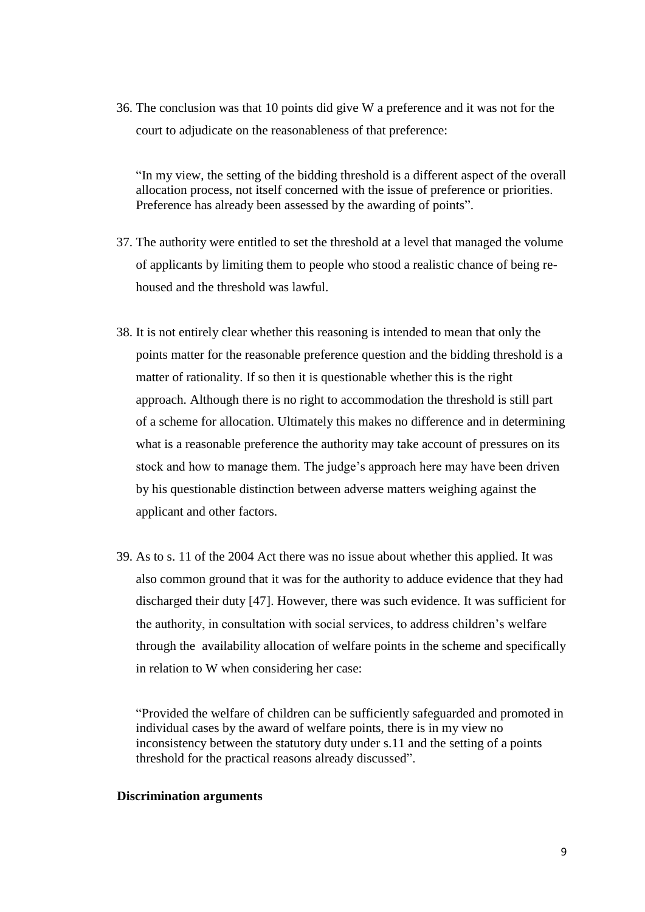36. The conclusion was that 10 points did give W a preference and it was not for the court to adjudicate on the reasonableness of that preference:

"In my view, the setting of the bidding threshold is a different aspect of the overall allocation process, not itself concerned with the issue of preference or priorities. Preference has already been assessed by the awarding of points".

- 37. The authority were entitled to set the threshold at a level that managed the volume of applicants by limiting them to people who stood a realistic chance of being rehoused and the threshold was lawful.
- 38. It is not entirely clear whether this reasoning is intended to mean that only the points matter for the reasonable preference question and the bidding threshold is a matter of rationality. If so then it is questionable whether this is the right approach. Although there is no right to accommodation the threshold is still part of a scheme for allocation. Ultimately this makes no difference and in determining what is a reasonable preference the authority may take account of pressures on its stock and how to manage them. The judge's approach here may have been driven by his questionable distinction between adverse matters weighing against the applicant and other factors.
- 39. As to s. 11 of the 2004 Act there was no issue about whether this applied. It was also common ground that it was for the authority to adduce evidence that they had discharged their duty [47]. However, there was such evidence. It was sufficient for the authority, in consultation with social services, to address children's welfare through the availability allocation of welfare points in the scheme and specifically in relation to W when considering her case:

"Provided the welfare of children can be sufficiently safeguarded and promoted in individual cases by the award of welfare points, there is in my view no inconsistency between the statutory duty under s.11 and the setting of a points threshold for the practical reasons already discussed".

# **Discrimination arguments**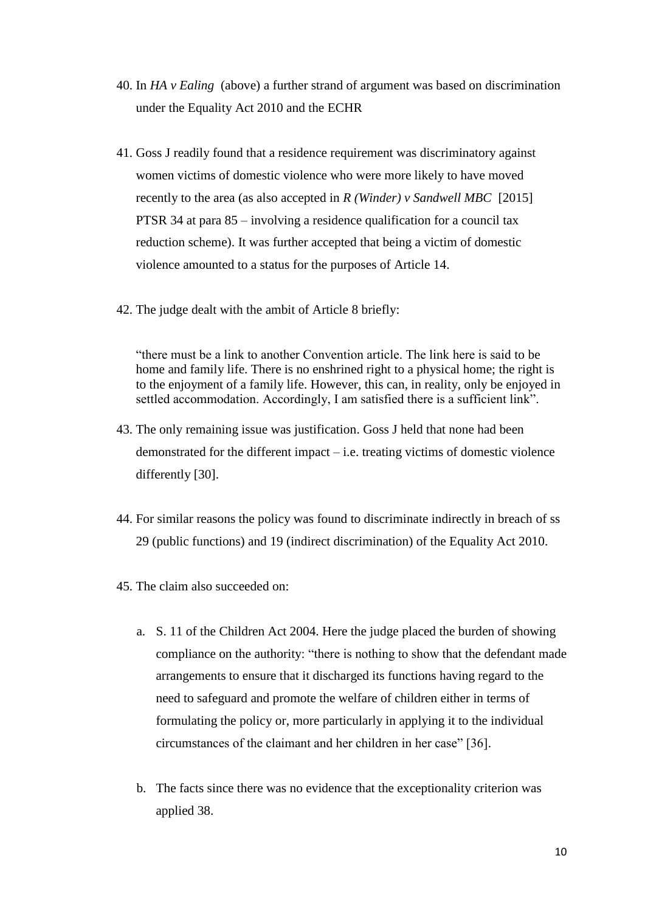- 40. In *HA v Ealing* (above) a further strand of argument was based on discrimination under the Equality Act 2010 and the ECHR
- 41. Goss J readily found that a residence requirement was discriminatory against women victims of domestic violence who were more likely to have moved recently to the area (as also accepted in *R (Winder) v Sandwell MBC* [2015] PTSR 34 at para 85 – involving a residence qualification for a council tax reduction scheme). It was further accepted that being a victim of domestic violence amounted to a status for the purposes of Article 14.
- 42. The judge dealt with the ambit of Article 8 briefly:

"there must be a link to another Convention article. The link here is said to be home and family life. There is no enshrined right to a physical home; the right is to the enjoyment of a family life. However, this can, in reality, only be enjoyed in settled accommodation. Accordingly, I am satisfied there is a sufficient link".

- 43. The only remaining issue was justification. Goss J held that none had been demonstrated for the different impact – i.e. treating victims of domestic violence differently [30].
- 44. For similar reasons the policy was found to discriminate indirectly in breach of ss 29 (public functions) and 19 (indirect discrimination) of the Equality Act 2010.
- 45. The claim also succeeded on:
	- a. S. 11 of the Children Act 2004. Here the judge placed the burden of showing compliance on the authority: "there is nothing to show that the defendant made arrangements to ensure that it discharged its functions having regard to the need to safeguard and promote the welfare of children either in terms of formulating the policy or, more particularly in applying it to the individual circumstances of the claimant and her children in her case" [36].
	- b. The facts since there was no evidence that the exceptionality criterion was applied 38.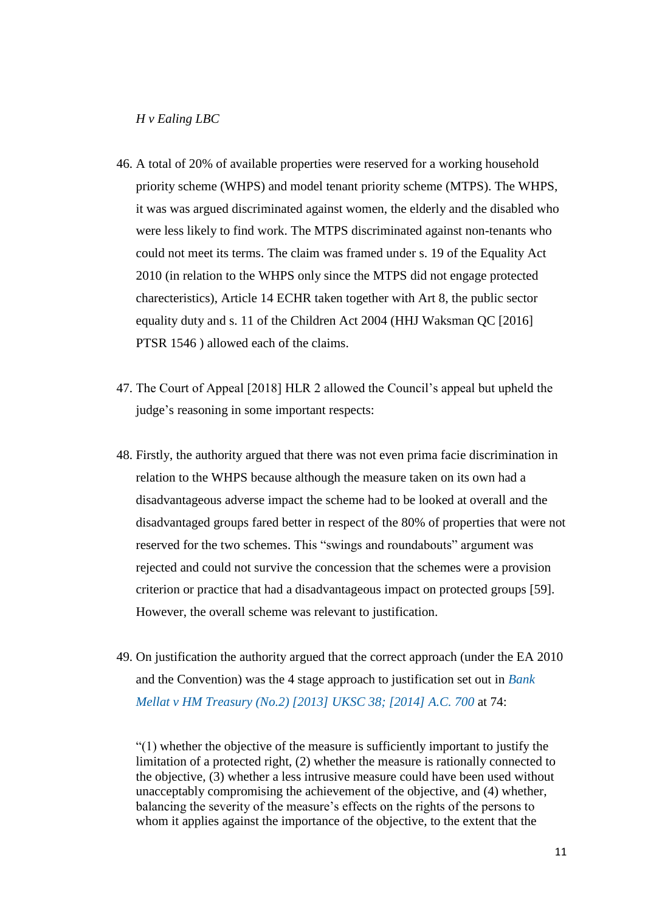### *H v Ealing LBC*

- 46. A total of 20% of available properties were reserved for a working household priority scheme (WHPS) and model tenant priority scheme (MTPS). The WHPS, it was was argued discriminated against women, the elderly and the disabled who were less likely to find work. The MTPS discriminated against non-tenants who could not meet its terms. The claim was framed under s. 19 of the Equality Act 2010 (in relation to the WHPS only since the MTPS did not engage protected charecteristics), Article 14 ECHR taken together with Art 8, the public sector equality duty and s. 11 of the Children Act 2004 (HHJ Waksman QC [2016] PTSR 1546 ) allowed each of the claims.
- 47. The Court of Appeal [2018] HLR 2 allowed the Council's appeal but upheld the judge's reasoning in some important respects:
- 48. Firstly, the authority argued that there was not even prima facie discrimination in relation to the WHPS because although the measure taken on its own had a disadvantageous adverse impact the scheme had to be looked at overall and the disadvantaged groups fared better in respect of the 80% of properties that were not reserved for the two schemes. This "swings and roundabouts" argument was rejected and could not survive the concession that the schemes were a provision criterion or practice that had a disadvantageous impact on protected groups [59]. However, the overall scheme was relevant to justification.
- 49. On justification the authority argued that the correct approach (under the EA 2010 and the Convention) was the 4 stage approach to justification set out in *[Bank](https://login.westlaw.co.uk/maf/wluk/app/document?src=doc&linktype=ref&context=43&crumb-action=replace&docguid=I2A4A5020D93A11E2974786E71EC57E4E)  [Mellat v HM Treasury \(No.2\) \[2013\] UKSC 38; \[2014\] A.C. 700](https://login.westlaw.co.uk/maf/wluk/app/document?src=doc&linktype=ref&context=43&crumb-action=replace&docguid=I2A4A5020D93A11E2974786E71EC57E4E)* at 74:

"(1) whether the objective of the measure is sufficiently important to justify the limitation of a protected right, (2) whether the measure is rationally connected to the objective, (3) whether a less intrusive measure could have been used without unacceptably compromising the achievement of the objective, and (4) whether, balancing the severity of the measure's effects on the rights of the persons to whom it applies against the importance of the objective, to the extent that the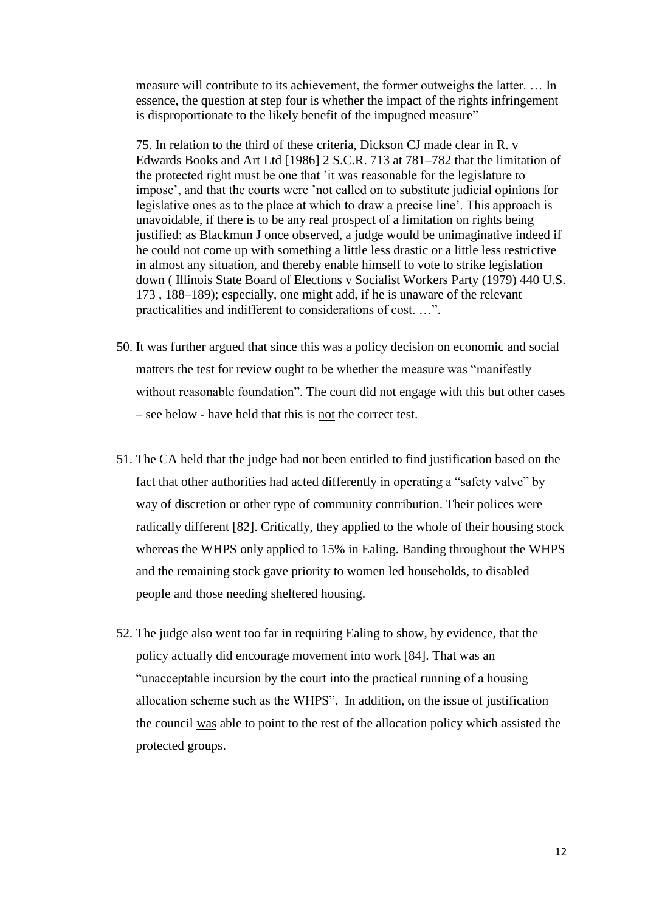measure will contribute to its achievement, the former outweighs the latter. … In essence, the question at step four is whether the impact of the rights infringement is disproportionate to the likely benefit of the impugned measure"

75. In relation to the third of these criteria, Dickson CJ made clear in R. v Edwards Books and Art Ltd [1986] 2 S.C.R. 713 at 781–782 that the limitation of the protected right must be one that 'it was reasonable for the legislature to impose', and that the courts were 'not called on to substitute judicial opinions for legislative ones as to the place at which to draw a precise line'. This approach is unavoidable, if there is to be any real prospect of a limitation on rights being justified: as Blackmun J once observed, a judge would be unimaginative indeed if he could not come up with something a little less drastic or a little less restrictive in almost any situation, and thereby enable himself to vote to strike legislation down ( Illinois State Board of Elections v Socialist Workers Party (1979) 440 U.S. 173 , 188–189); especially, one might add, if he is unaware of the relevant practicalities and indifferent to considerations of cost. …".

- 50. It was further argued that since this was a policy decision on economic and social matters the test for review ought to be whether the measure was "manifestly without reasonable foundation". The court did not engage with this but other cases – see below - have held that this is not the correct test.
- 51. The CA held that the judge had not been entitled to find justification based on the fact that other authorities had acted differently in operating a "safety valve" by way of discretion or other type of community contribution. Their polices were radically different [82]. Critically, they applied to the whole of their housing stock whereas the WHPS only applied to 15% in Ealing. Banding throughout the WHPS and the remaining stock gave priority to women led households, to disabled people and those needing sheltered housing.
- 52. The judge also went too far in requiring Ealing to show, by evidence, that the policy actually did encourage movement into work [84]. That was an "unacceptable incursion by the court into the practical running of a housing allocation scheme such as the WHPS". In addition, on the issue of justification the council was able to point to the rest of the allocation policy which assisted the protected groups.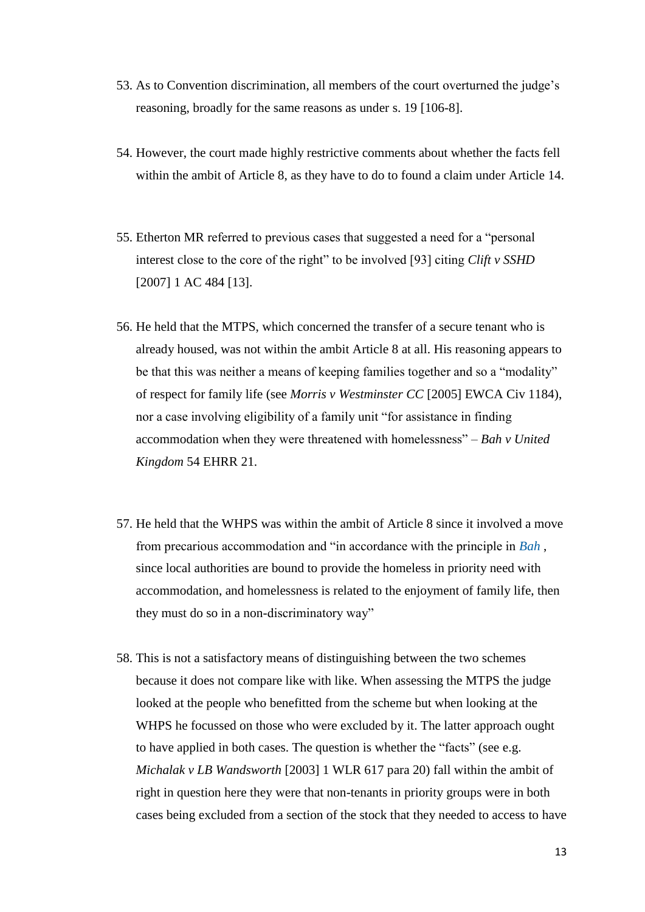- 53. As to Convention discrimination, all members of the court overturned the judge's reasoning, broadly for the same reasons as under s. 19 [106-8].
- 54. However, the court made highly restrictive comments about whether the facts fell within the ambit of Article 8, as they have to do to found a claim under Article 14.
- 55. Etherton MR referred to previous cases that suggested a need for a "personal interest close to the core of the right" to be involved [93] citing *Clift v SSHD* [2007] 1 AC 484 [13].
- 56. He held that the MTPS, which concerned the transfer of a secure tenant who is already housed, was not within the ambit Article 8 at all. His reasoning appears to be that this was neither a means of keeping families together and so a "modality" of respect for family life (see *Morris v Westminster CC* [2005] EWCA Civ 1184), nor a case involving eligibility of a family unit "for assistance in finding accommodation when they were threatened with homelessness" – *Bah v United Kingdom* 54 EHRR 21.
- 57. He held that the WHPS was within the ambit of Article 8 since it involved a move from precarious accommodation and "in accordance with the principle in *[Bah](https://login.westlaw.co.uk/maf/wluk/app/document?src=doc&linktype=ref&context=43&crumb-action=replace&docguid=I98C6B0D00F6411E1853CDC707AB2CE5A)* , since local authorities are bound to provide the homeless in priority need with accommodation, and homelessness is related to the enjoyment of family life, then they must do so in a non-discriminatory way"
- 58. This is not a satisfactory means of distinguishing between the two schemes because it does not compare like with like. When assessing the MTPS the judge looked at the people who benefitted from the scheme but when looking at the WHPS he focussed on those who were excluded by it. The latter approach ought to have applied in both cases. The question is whether the "facts" (see e.g. *Michalak v LB Wandsworth* [2003] 1 WLR 617 para 20) fall within the ambit of right in question here they were that non-tenants in priority groups were in both cases being excluded from a section of the stock that they needed to access to have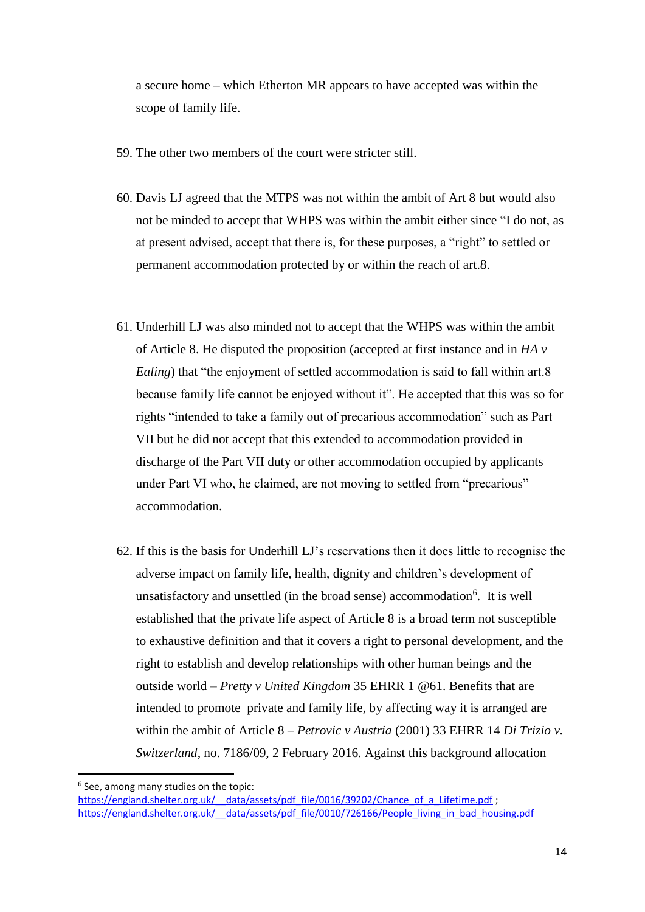a secure home – which Etherton MR appears to have accepted was within the scope of family life.

- 59. The other two members of the court were stricter still.
- 60. Davis LJ agreed that the MTPS was not within the ambit of Art 8 but would also not be minded to accept that WHPS was within the ambit either since "I do not, as at present advised, accept that there is, for these purposes, a "right" to settled or permanent accommodation protected by or within the reach of art.8.
- 61. Underhill LJ was also minded not to accept that the WHPS was within the ambit of Article 8. He disputed the proposition (accepted at first instance and in *HA v Ealing*) that "the enjoyment of settled accommodation is said to fall within art.8 because family life cannot be enjoyed without it". He accepted that this was so for rights "intended to take a family out of precarious accommodation" such as Part VII but he did not accept that this extended to accommodation provided in discharge of the Part VII duty or other accommodation occupied by applicants under Part VI who, he claimed, are not moving to settled from "precarious" accommodation.
- 62. If this is the basis for Underhill LJ's reservations then it does little to recognise the adverse impact on family life, health, dignity and children's development of unsatisfactory and unsettled (in the broad sense) accommodation<sup>6</sup>. It is well established that the private life aspect of Article 8 is a broad term not susceptible to exhaustive definition and that it covers a right to personal development, and the right to establish and develop relationships with other human beings and the outside world – *Pretty v United Kingdom* 35 EHRR 1 @61. Benefits that are intended to promote private and family life, by affecting way it is arranged are within the ambit of Article 8 – *Petrovic v Austria* (2001) 33 EHRR 14 *Di Trizio v. Switzerland*, no. 7186/09, 2 February 2016. Against this background allocation

**.** 

<sup>6</sup> See, among many studies on the topic:

https://england.shelter.org.uk/ data/assets/pdf file/0016/39202/Chance of a Lifetime.pdf ; https://england.shelter.org.uk/ data/assets/pdf file/0010/726166/People living in bad housing.pdf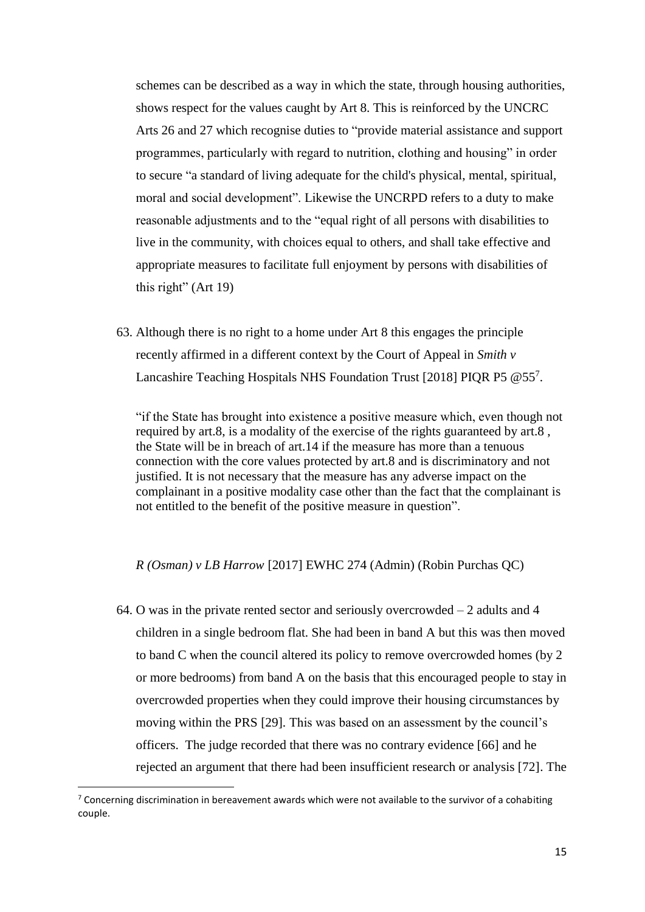schemes can be described as a way in which the state, through housing authorities, shows respect for the values caught by Art 8. This is reinforced by the UNCRC Arts 26 and 27 which recognise duties to "provide material assistance and support programmes, particularly with regard to nutrition, clothing and housing" in order to secure "a standard of living adequate for the child's physical, mental, spiritual, moral and social development". Likewise the UNCRPD refers to a duty to make reasonable adjustments and to the "equal right of all persons with disabilities to live in the community, with choices equal to others, and shall take effective and appropriate measures to facilitate full enjoyment by persons with disabilities of this right" (Art 19)

63. Although there is no right to a home under Art 8 this engages the principle recently affirmed in a different context by the Court of Appeal in *Smith v*  Lancashire Teaching Hospitals NHS Foundation Trust [2018] PIQR P5 @557.

"if the State has brought into existence a positive measure which, even though not required by art.8, is a modality of the exercise of the rights guaranteed by art.8 , the State will be in breach of art.14 if the measure has more than a tenuous connection with the core values protected by art.8 and is discriminatory and not justified. It is not necessary that the measure has any adverse impact on the complainant in a positive modality case other than the fact that the complainant is not entitled to the benefit of the positive measure in question".

#### *R (Osman) v LB Harrow* [2017] EWHC 274 (Admin) (Robin Purchas QC)

64. O was in the private rented sector and seriously overcrowded – 2 adults and 4 children in a single bedroom flat. She had been in band A but this was then moved to band C when the council altered its policy to remove overcrowded homes (by 2 or more bedrooms) from band A on the basis that this encouraged people to stay in overcrowded properties when they could improve their housing circumstances by moving within the PRS [29]. This was based on an assessment by the council's officers. The judge recorded that there was no contrary evidence [66] and he rejected an argument that there had been insufficient research or analysis [72]. The

 $\overline{\phantom{a}}$ 

 $7$  Concerning discrimination in bereavement awards which were not available to the survivor of a cohabiting couple.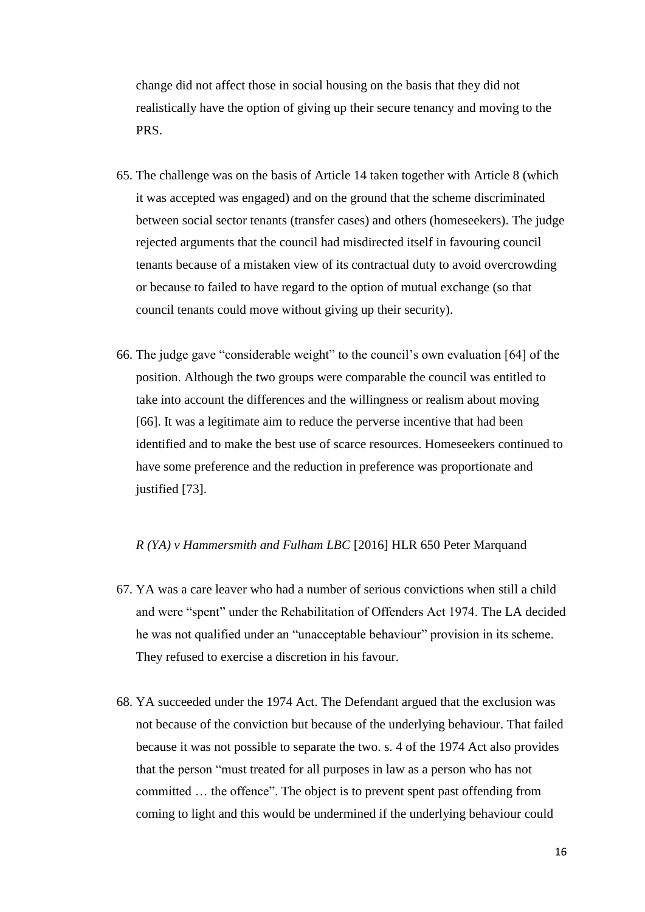change did not affect those in social housing on the basis that they did not realistically have the option of giving up their secure tenancy and moving to the PRS.

- 65. The challenge was on the basis of Article 14 taken together with Article 8 (which it was accepted was engaged) and on the ground that the scheme discriminated between social sector tenants (transfer cases) and others (homeseekers). The judge rejected arguments that the council had misdirected itself in favouring council tenants because of a mistaken view of its contractual duty to avoid overcrowding or because to failed to have regard to the option of mutual exchange (so that council tenants could move without giving up their security).
- 66. The judge gave "considerable weight" to the council's own evaluation [64] of the position. Although the two groups were comparable the council was entitled to take into account the differences and the willingness or realism about moving [66]. It was a legitimate aim to reduce the perverse incentive that had been identified and to make the best use of scarce resources. Homeseekers continued to have some preference and the reduction in preference was proportionate and justified [73].

# *R (YA) v Hammersmith and Fulham LBC* [2016] HLR 650 Peter Marquand

- 67. YA was a care leaver who had a number of serious convictions when still a child and were "spent" under the Rehabilitation of Offenders Act 1974. The LA decided he was not qualified under an "unacceptable behaviour" provision in its scheme. They refused to exercise a discretion in his favour.
- 68. YA succeeded under the 1974 Act. The Defendant argued that the exclusion was not because of the conviction but because of the underlying behaviour. That failed because it was not possible to separate the two. s. 4 of the 1974 Act also provides that the person "must treated for all purposes in law as a person who has not committed … the offence". The object is to prevent spent past offending from coming to light and this would be undermined if the underlying behaviour could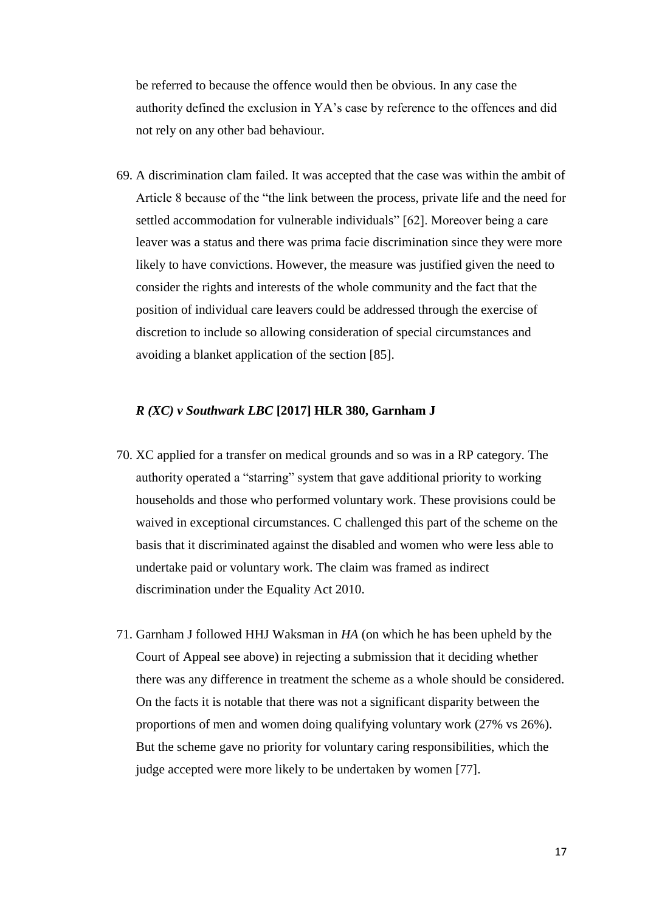be referred to because the offence would then be obvious. In any case the authority defined the exclusion in YA's case by reference to the offences and did not rely on any other bad behaviour.

69. A discrimination clam failed. It was accepted that the case was within the ambit of Article 8 because of the "the link between the process, private life and the need for settled accommodation for vulnerable individuals" [62]. Moreover being a care leaver was a status and there was prima facie discrimination since they were more likely to have convictions. However, the measure was justified given the need to consider the rights and interests of the whole community and the fact that the position of individual care leavers could be addressed through the exercise of discretion to include so allowing consideration of special circumstances and avoiding a blanket application of the section [85].

# *R (XC) v Southwark LBC* **[2017] HLR 380, Garnham J**

- 70. XC applied for a transfer on medical grounds and so was in a RP category. The authority operated a "starring" system that gave additional priority to working households and those who performed voluntary work. These provisions could be waived in exceptional circumstances. C challenged this part of the scheme on the basis that it discriminated against the disabled and women who were less able to undertake paid or voluntary work. The claim was framed as indirect discrimination under the Equality Act 2010.
- 71. Garnham J followed HHJ Waksman in *HA* (on which he has been upheld by the Court of Appeal see above) in rejecting a submission that it deciding whether there was any difference in treatment the scheme as a whole should be considered. On the facts it is notable that there was not a significant disparity between the proportions of men and women doing qualifying voluntary work (27% vs 26%). But the scheme gave no priority for voluntary caring responsibilities, which the judge accepted were more likely to be undertaken by women [77].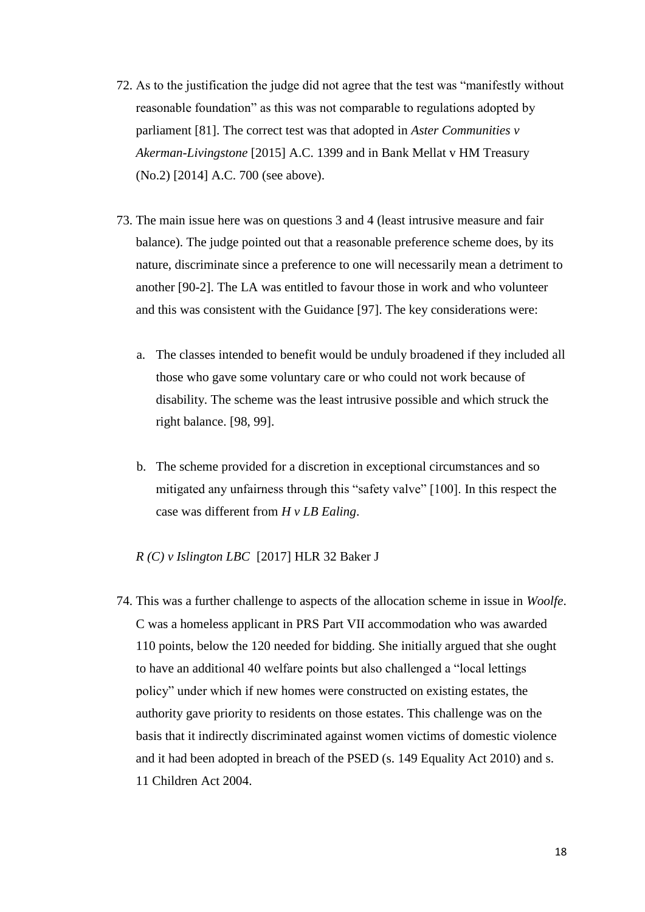- 72. As to the justification the judge did not agree that the test was "manifestly without reasonable foundation" as this was not comparable to regulations adopted by parliament [81]. The correct test was that adopted in *Aster Communities v Akerman-Livingstone* [2015] A.C. 1399 and in Bank Mellat v HM Treasury (No.2) [2014] A.C. 700 (see above).
- 73. The main issue here was on questions 3 and 4 (least intrusive measure and fair balance). The judge pointed out that a reasonable preference scheme does, by its nature, discriminate since a preference to one will necessarily mean a detriment to another [90-2]. The LA was entitled to favour those in work and who volunteer and this was consistent with the Guidance [97]. The key considerations were:
	- a. The classes intended to benefit would be unduly broadened if they included all those who gave some voluntary care or who could not work because of disability. The scheme was the least intrusive possible and which struck the right balance. [98, 99].
	- b. The scheme provided for a discretion in exceptional circumstances and so mitigated any unfairness through this "safety valve" [100]. In this respect the case was different from *H v LB Ealing*.

# *R (C) v Islington LBC* [2017] HLR 32 Baker J

74. This was a further challenge to aspects of the allocation scheme in issue in *Woolfe*. C was a homeless applicant in PRS Part VII accommodation who was awarded 110 points, below the 120 needed for bidding. She initially argued that she ought to have an additional 40 welfare points but also challenged a "local lettings policy" under which if new homes were constructed on existing estates, the authority gave priority to residents on those estates. This challenge was on the basis that it indirectly discriminated against women victims of domestic violence and it had been adopted in breach of the PSED (s. 149 Equality Act 2010) and s. 11 Children Act 2004.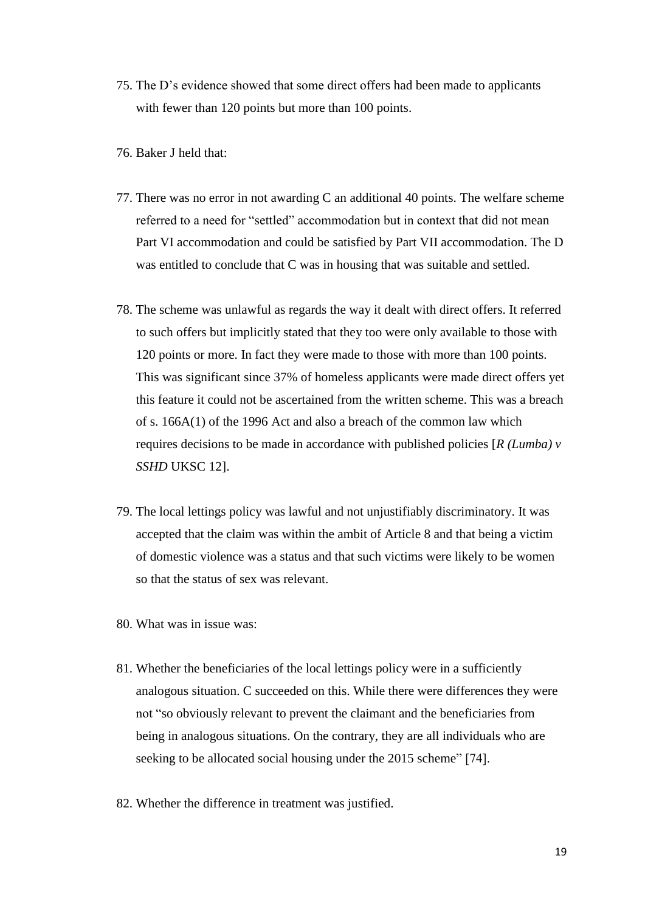- 75. The D's evidence showed that some direct offers had been made to applicants with fewer than 120 points but more than 100 points.
- 76. Baker J held that:
- 77. There was no error in not awarding C an additional 40 points. The welfare scheme referred to a need for "settled" accommodation but in context that did not mean Part VI accommodation and could be satisfied by Part VII accommodation. The D was entitled to conclude that C was in housing that was suitable and settled.
- 78. The scheme was unlawful as regards the way it dealt with direct offers. It referred to such offers but implicitly stated that they too were only available to those with 120 points or more. In fact they were made to those with more than 100 points. This was significant since 37% of homeless applicants were made direct offers yet this feature it could not be ascertained from the written scheme. This was a breach of s. 166A(1) of the 1996 Act and also a breach of the common law which requires decisions to be made in accordance with published policies [*R (Lumba) v SSHD* UKSC 12].
- 79. The local lettings policy was lawful and not unjustifiably discriminatory. It was accepted that the claim was within the ambit of Article 8 and that being a victim of domestic violence was a status and that such victims were likely to be women so that the status of sex was relevant.
- 80. What was in issue was:
- 81. Whether the beneficiaries of the local lettings policy were in a sufficiently analogous situation. C succeeded on this. While there were differences they were not "so obviously relevant to prevent the claimant and the beneficiaries from being in analogous situations. On the contrary, they are all individuals who are seeking to be allocated social housing under the 2015 scheme" [74].
- 82. Whether the difference in treatment was justified.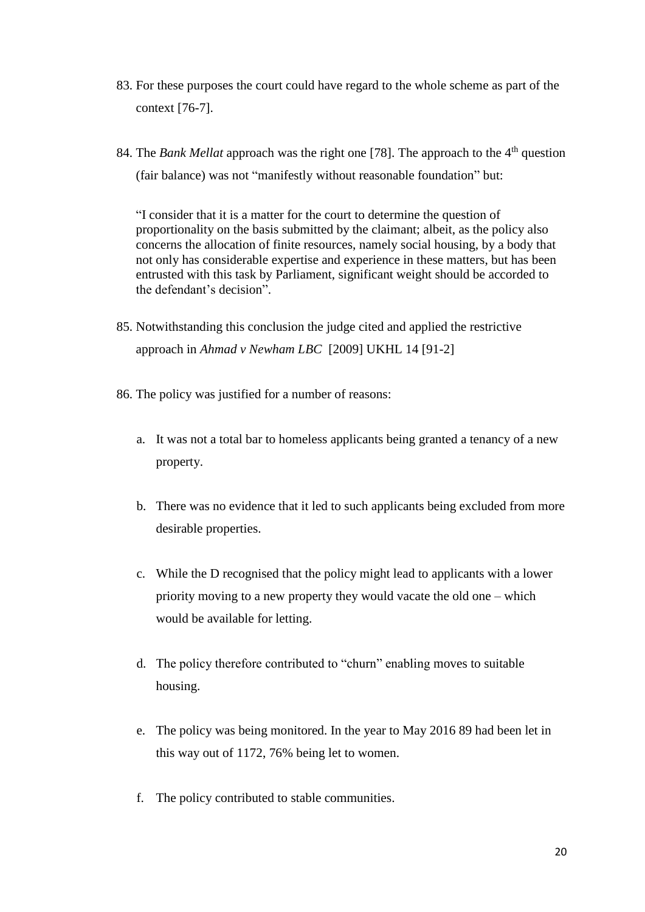- 83. For these purposes the court could have regard to the whole scheme as part of the context [76-7].
- 84. The *Bank Mellat* approach was the right one [78]. The approach to the 4<sup>th</sup> question (fair balance) was not "manifestly without reasonable foundation" but:

"I consider that it is a matter for the court to determine the question of proportionality on the basis submitted by the claimant; albeit, as the policy also concerns the allocation of finite resources, namely social housing, by a body that not only has considerable expertise and experience in these matters, but has been entrusted with this task by Parliament, significant weight should be accorded to the defendant's decision".

- 85. Notwithstanding this conclusion the judge cited and applied the restrictive approach in *Ahmad v Newham LBC* [2009] UKHL 14 [91-2]
- 86. The policy was justified for a number of reasons:
	- a. It was not a total bar to homeless applicants being granted a tenancy of a new property.
	- b. There was no evidence that it led to such applicants being excluded from more desirable properties.
	- c. While the D recognised that the policy might lead to applicants with a lower priority moving to a new property they would vacate the old one – which would be available for letting.
	- d. The policy therefore contributed to "churn" enabling moves to suitable housing.
	- e. The policy was being monitored. In the year to May 2016 89 had been let in this way out of 1172, 76% being let to women.
	- f. The policy contributed to stable communities.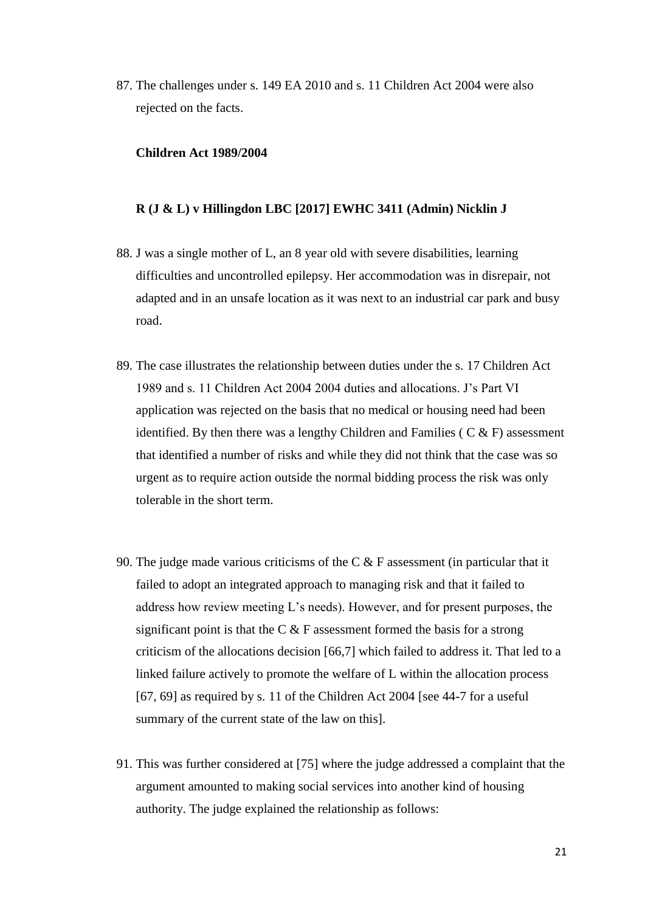87. The challenges under s. 149 EA 2010 and s. 11 Children Act 2004 were also rejected on the facts.

# **Children Act 1989/2004**

# **R (J & L) v Hillingdon LBC [2017] EWHC 3411 (Admin) Nicklin J**

- 88. J was a single mother of L, an 8 year old with severe disabilities, learning difficulties and uncontrolled epilepsy. Her accommodation was in disrepair, not adapted and in an unsafe location as it was next to an industrial car park and busy road.
- 89. The case illustrates the relationship between duties under the s. 17 Children Act 1989 and s. 11 Children Act 2004 2004 duties and allocations. J's Part VI application was rejected on the basis that no medical or housing need had been identified. By then there was a lengthy Children and Families ( $C & F$ ) assessment that identified a number of risks and while they did not think that the case was so urgent as to require action outside the normal bidding process the risk was only tolerable in the short term.
- 90. The judge made various criticisms of the C  $&$  F assessment (in particular that it failed to adopt an integrated approach to managing risk and that it failed to address how review meeting L's needs). However, and for present purposes, the significant point is that the C & F assessment formed the basis for a strong criticism of the allocations decision [66,7] which failed to address it. That led to a linked failure actively to promote the welfare of L within the allocation process [67, 69] as required by s. 11 of the Children Act 2004 [see 44-7 for a useful summary of the current state of the law on this].
- 91. This was further considered at [75] where the judge addressed a complaint that the argument amounted to making social services into another kind of housing authority. The judge explained the relationship as follows: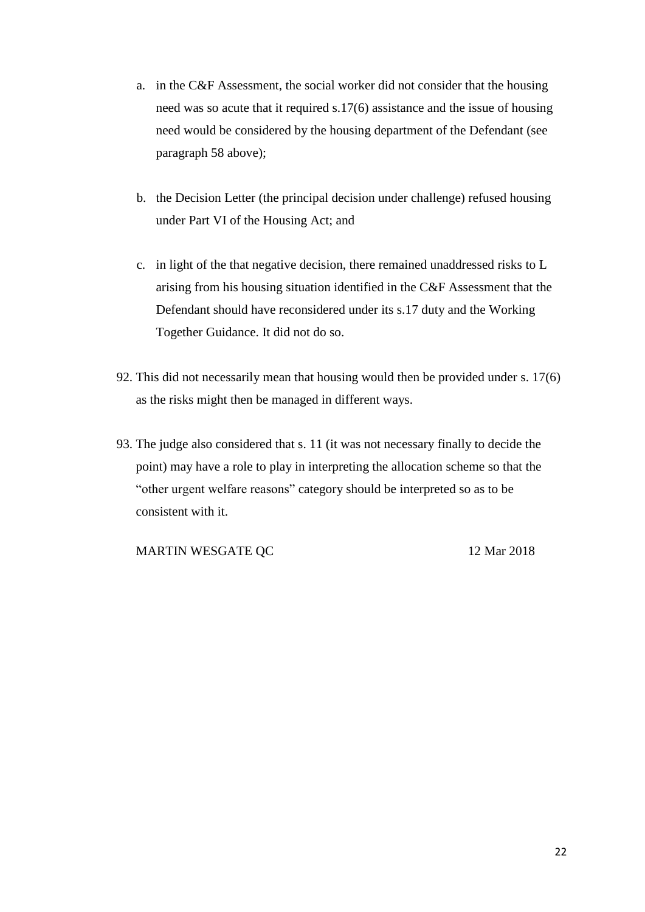- a. in the C&F Assessment, the social worker did not consider that the housing need was so acute that it required s.17(6) assistance and the issue of housing need would be considered by the housing department of the Defendant (see paragraph 58 above);
- b. the Decision Letter (the principal decision under challenge) refused housing under Part VI of the Housing Act; and
- c. in light of the that negative decision, there remained unaddressed risks to L arising from his housing situation identified in the C&F Assessment that the Defendant should have reconsidered under its s.17 duty and the Working Together Guidance. It did not do so.
- 92. This did not necessarily mean that housing would then be provided under s. 17(6) as the risks might then be managed in different ways.
- 93. The judge also considered that s. 11 (it was not necessary finally to decide the point) may have a role to play in interpreting the allocation scheme so that the "other urgent welfare reasons" category should be interpreted so as to be consistent with it.

MARTIN WESGATE QC 12 Mar 2018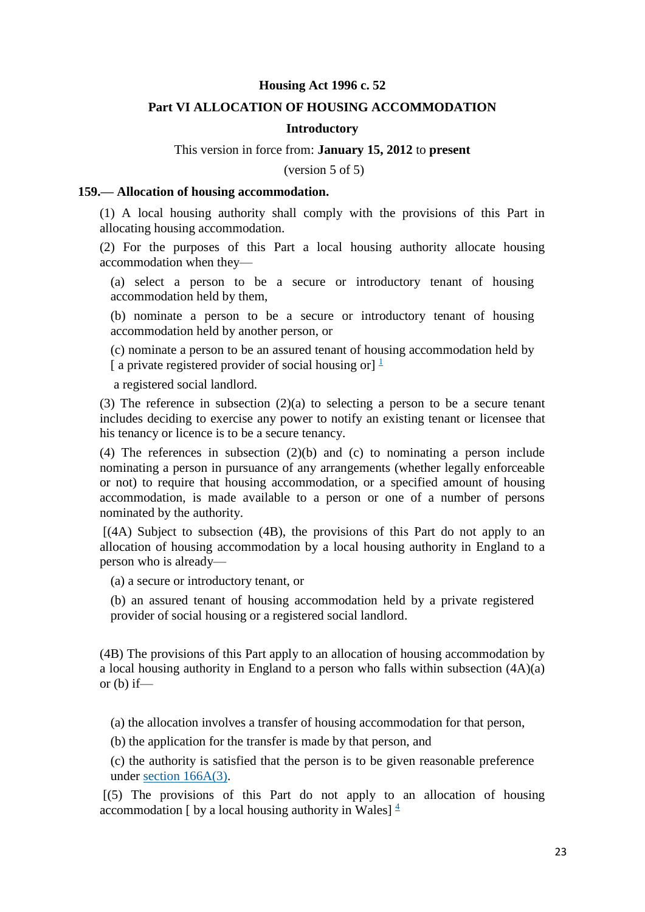# **Housing Act 1996 c. 52**

# **Part VI ALLOCATION OF HOUSING ACCOMMODATION**

#### **Introductory**

# This version in force from: **January 15, 2012** to **present**

(version 5 of 5)

#### **159.— Allocation of housing accommodation.**

(1) A local housing authority shall comply with the provisions of this Part in allocating housing accommodation.

(2) For the purposes of this Part a local housing authority allocate housing accommodation when they—

(a) select a person to be a secure or introductory tenant of housing accommodation held by them,

(b) nominate a person to be a secure or introductory tenant of housing accommodation held by another person, or

(c) nominate a person to be an assured tenant of housing accommodation held by [ a private registered provider of social housing or]  $\frac{1}{1}$  $\frac{1}{1}$  $\frac{1}{1}$ 

a registered social landlord.

(3) The reference in subsection (2)(a) to selecting a person to be a secure tenant includes deciding to exercise any power to notify an existing tenant or licensee that his tenancy or licence is to be a secure tenancy.

(4) The references in subsection (2)(b) and (c) to nominating a person include nominating a person in pursuance of any arrangements (whether legally enforceable or not) to require that housing accommodation, or a specified amount of housing accommodation, is made available to a person or one of a number of persons nominated by the authority.

 $[(4A)$  Subject to subsection  $(4B)$ , the provisions of this Part do not apply to an allocation of housing accommodation by a local housing authority in England to a person who is already—

(a) a secure or introductory tenant, or

(b) an assured tenant of housing accommodation held by a private registered provider of social housing or a registered social landlord.

(4B) The provisions of this Part apply to an allocation of housing accommodation by a local housing authority in England to a person who falls within subsection (4A)(a) or  $(b)$  if—

(a) the allocation involves a transfer of housing accommodation for that person,

(b) the application for the transfer is made by that person, and

(c) the authority is satisfied that the person is to be given reasonable preference under [section 166A\(3\).](http://login.westlaw.co.uk/maf/wluk/ext/app/document?src=doc&linktype=ref&context=219&crumb-action=replace&docguid=IEF08F2B0471211E18136D43B945F41CE)

 $[(5)$  The provisions of this Part do not apply to an allocation of housing accommodation [ by a local housing authority in Wales]  $\frac{4}{3}$  $\frac{4}{3}$  $\frac{4}{3}$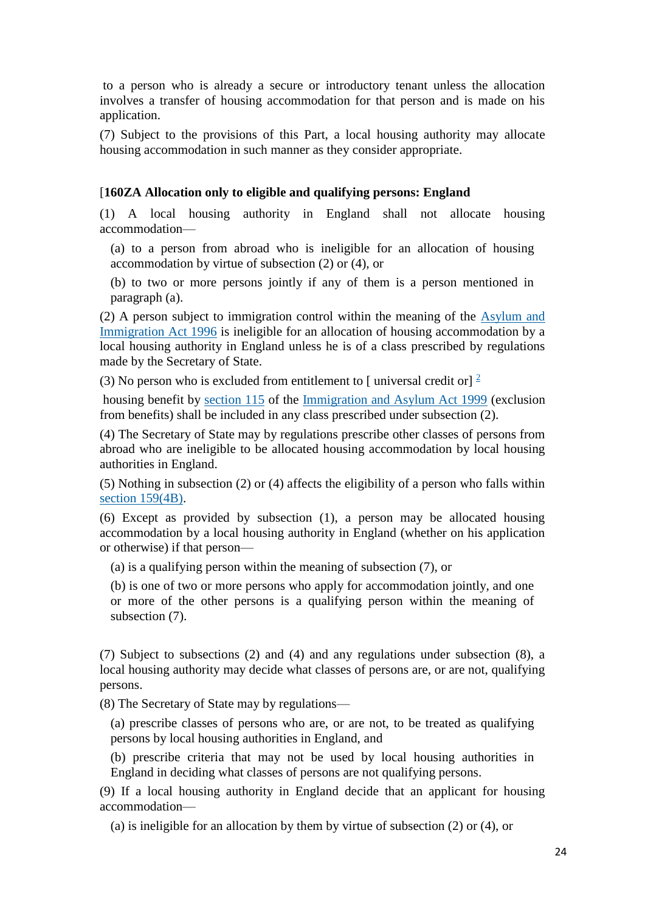to a person who is already a secure or introductory tenant unless the allocation involves a transfer of housing accommodation for that person and is made on his application.

(7) Subject to the provisions of this Part, a local housing authority may allocate housing accommodation in such manner as they consider appropriate.

# [**160ZA Allocation only to eligible and qualifying persons: England**

(1) A local housing authority in England shall not allocate housing accommodation—

(a) to a person from abroad who is ineligible for an allocation of housing accommodation by virtue of subsection (2) or (4), or

(b) to two or more persons jointly if any of them is a person mentioned in paragraph (a).

(2) A person subject to immigration control within the meaning of the [Asylum and](http://login.westlaw.co.uk/maf/wluk/ext/app/document?src=doc&linktype=ref&context=219&crumb-action=replace&docguid=I5FC475F0E42311DAA7CF8F68F6EE57AB)  [Immigration Act 1996](http://login.westlaw.co.uk/maf/wluk/ext/app/document?src=doc&linktype=ref&context=219&crumb-action=replace&docguid=I5FC475F0E42311DAA7CF8F68F6EE57AB) is ineligible for an allocation of housing accommodation by a local housing authority in England unless he is of a class prescribed by regulations made by the Secretary of State.

(3) No person who is excluded from entitlement to [universal credit or]  $\frac{2}{3}$  $\frac{2}{3}$  $\frac{2}{3}$ 

housing benefit by [section 115](http://login.westlaw.co.uk/maf/wluk/ext/app/document?src=doc&linktype=ref&context=219&crumb-action=replace&docguid=ID1C02950E44C11DA8D70A0E70A78ED65) of the [Immigration and Asylum Act 1999](http://login.westlaw.co.uk/maf/wluk/ext/app/document?src=doc&linktype=ref&context=219&crumb-action=replace&docguid=I5FB38600E42311DAA7CF8F68F6EE57AB) (exclusion from benefits) shall be included in any class prescribed under subsection (2).

(4) The Secretary of State may by regulations prescribe other classes of persons from abroad who are ineligible to be allocated housing accommodation by local housing authorities in England.

(5) Nothing in subsection (2) or (4) affects the eligibility of a person who falls within [section 159\(4B\).](http://login.westlaw.co.uk/maf/wluk/ext/app/document?src=doc&linktype=ref&context=219&crumb-action=replace&docguid=I295B0070E44F11DA8D70A0E70A78ED65)

(6) Except as provided by subsection (1), a person may be allocated housing accommodation by a local housing authority in England (whether on his application or otherwise) if that person—

(a) is a qualifying person within the meaning of subsection (7), or

(b) is one of two or more persons who apply for accommodation jointly, and one or more of the other persons is a qualifying person within the meaning of subsection (7).

(7) Subject to subsections (2) and (4) and any regulations under subsection (8), a local housing authority may decide what classes of persons are, or are not, qualifying persons.

(8) The Secretary of State may by regulations—

(a) prescribe classes of persons who are, or are not, to be treated as qualifying persons by local housing authorities in England, and

(b) prescribe criteria that may not be used by local housing authorities in England in deciding what classes of persons are not qualifying persons.

(9) If a local housing authority in England decide that an applicant for housing accommodation—

(a) is ineligible for an allocation by them by virtue of subsection (2) or (4), or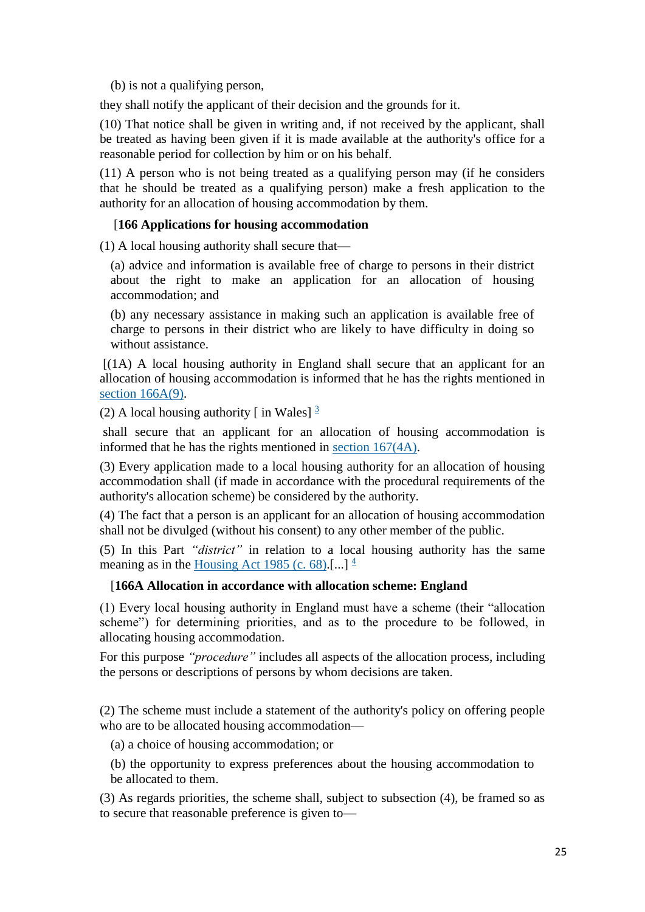(b) is not a qualifying person,

they shall notify the applicant of their decision and the grounds for it.

(10) That notice shall be given in writing and, if not received by the applicant, shall be treated as having been given if it is made available at the authority's office for a reasonable period for collection by him or on his behalf.

(11) A person who is not being treated as a qualifying person may (if he considers that he should be treated as a qualifying person) make a fresh application to the authority for an allocation of housing accommodation by them.

# [**166 Applications for housing accommodation**

(1) A local housing authority shall secure that—

(a) advice and information is available free of charge to persons in their district about the right to make an application for an allocation of housing accommodation; and

(b) any necessary assistance in making such an application is available free of charge to persons in their district who are likely to have difficulty in doing so without assistance.

[(1A) A local housing authority in England shall secure that an applicant for an allocation of housing accommodation is informed that he has the rights mentioned in [section 166A\(9\).](http://login.westlaw.co.uk/maf/wluk/ext/app/document?src=doc&linktype=ref&context=219&crumb-action=replace&docguid=IEF08F2B0471211E18136D43B945F41CE)

(2)A local housing authority  $\lceil$  in Wales $\rceil$   $\frac{3}{2}$ 

shall secure that an applicant for an allocation of housing accommodation is informed that he has the rights mentioned in [section 167\(4A\).](http://login.westlaw.co.uk/maf/wluk/ext/app/document?src=doc&linktype=ref&context=219&crumb-action=replace&docguid=IA1A81130E44A11DA8D70A0E70A78ED65)

(3) Every application made to a local housing authority for an allocation of housing accommodation shall (if made in accordance with the procedural requirements of the authority's allocation scheme) be considered by the authority.

(4) The fact that a person is an applicant for an allocation of housing accommodation shall not be divulged (without his consent) to any other member of the public.

(5) In this Part *"district"* in relation to a local housing authority has the same meaning as in the [Housing Act 1985 \(c. 68\).](http://login.westlaw.co.uk/maf/wluk/ext/app/document?src=doc&linktype=ref&context=219&crumb-action=replace&docguid=I60168D90E42311DAA7CF8F68F6EE57AB)[...] $\frac{4}{3}$ 

#### [**166A Allocation in accordance with allocation scheme: England**

(1) Every local housing authority in England must have a scheme (their "allocation scheme") for determining priorities, and as to the procedure to be followed, in allocating housing accommodation.

For this purpose *"procedure"* includes all aspects of the allocation process, including the persons or descriptions of persons by whom decisions are taken.

(2) The scheme must include a statement of the authority's policy on offering people who are to be allocated housing accommodation—

(a) a choice of housing accommodation; or

(b) the opportunity to express preferences about the housing accommodation to be allocated to them.

(3) As regards priorities, the scheme shall, subject to subsection (4), be framed so as to secure that reasonable preference is given to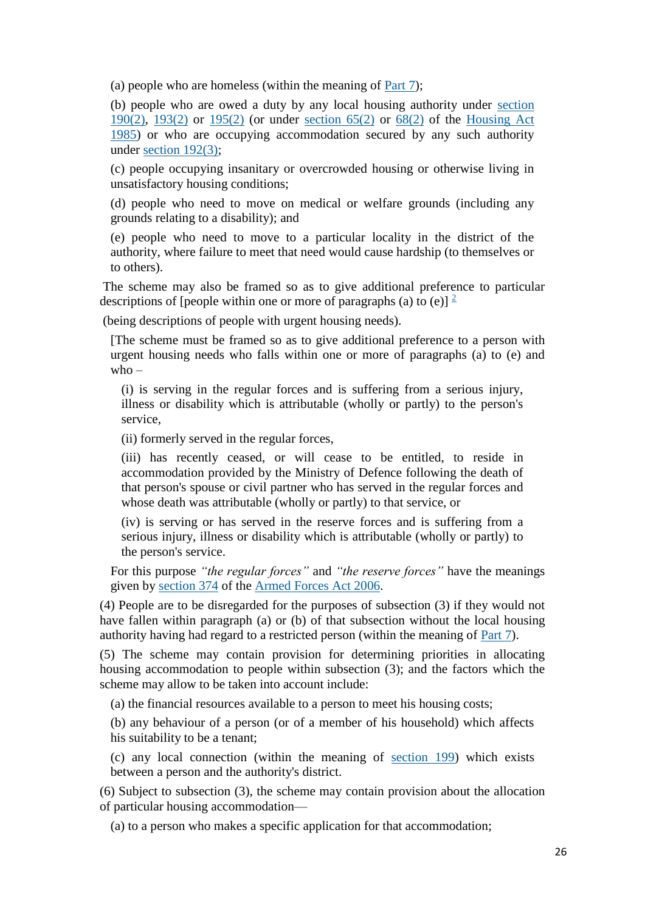(a) people who are homeless (within the meaning of [Part 7\)](http://login.westlaw.co.uk/maf/wluk/ext/app/document?src=doc&linktype=ref&context=219&crumb-action=replace&docguid=I296C8CA1E44F11DA8D70A0E70A78ED65);

(b) people who are owed a duty by any local housing authority under [section](http://login.westlaw.co.uk/maf/wluk/ext/app/document?src=doc&linktype=ref&context=219&crumb-action=replace&docguid=I29762990E44F11DA8D70A0E70A78ED65)  [190\(2\),](http://login.westlaw.co.uk/maf/wluk/ext/app/document?src=doc&linktype=ref&context=219&crumb-action=replace&docguid=I29762990E44F11DA8D70A0E70A78ED65) [193\(2\)](http://login.westlaw.co.uk/maf/wluk/ext/app/document?src=doc&linktype=ref&context=219&crumb-action=replace&docguid=I73A0D050E44B11DA8D70A0E70A78ED65) or [195\(2\)](http://login.westlaw.co.uk/maf/wluk/ext/app/document?src=doc&linktype=ref&context=219&crumb-action=replace&docguid=I297D5580E44F11DA8D70A0E70A78ED65) (or under [section 65\(2\)](http://login.westlaw.co.uk/maf/wluk/ext/app/document?src=doc&linktype=ref&context=219&crumb-action=replace&docguid=IA1A774F0E44A11DA8D70A0E70A78ED65) or [68\(2\)](http://login.westlaw.co.uk/maf/wluk/ext/app/document?src=doc&linktype=ref&context=219&crumb-action=replace&docguid=IA1A9E5F0E44A11DA8D70A0E70A78ED65) of the [Housing Act](http://login.westlaw.co.uk/maf/wluk/ext/app/document?src=doc&linktype=ref&context=219&crumb-action=replace&docguid=I60168D90E42311DAA7CF8F68F6EE57AB)  [1985\)](http://login.westlaw.co.uk/maf/wluk/ext/app/document?src=doc&linktype=ref&context=219&crumb-action=replace&docguid=I60168D90E42311DAA7CF8F68F6EE57AB) or who are occupying accommodation secured by any such authority under [section 192\(3\);](http://login.westlaw.co.uk/maf/wluk/ext/app/document?src=doc&linktype=ref&context=219&crumb-action=replace&docguid=I29782560E44F11DA8D70A0E70A78ED65)

(c) people occupying insanitary or overcrowded housing or otherwise living in unsatisfactory housing conditions;

(d) people who need to move on medical or welfare grounds (including any grounds relating to a disability); and

(e) people who need to move to a particular locality in the district of the authority, where failure to meet that need would cause hardship (to themselves or to others).

The scheme may also be framed so as to give additional preference to particular descriptions of [people within one or more of paragraphs (a) to (e)]  $\frac{2}{3}$  $\frac{2}{3}$  $\frac{2}{3}$ 

(being descriptions of people with urgent housing needs).

[The scheme must be framed so as to give additional preference to a person with urgent housing needs who falls within one or more of paragraphs (a) to (e) and who  $-$ 

(i) is serving in the regular forces and is suffering from a serious injury, illness or disability which is attributable (wholly or partly) to the person's service,

(ii) formerly served in the regular forces,

(iii) has recently ceased, or will cease to be entitled, to reside in accommodation provided by the Ministry of Defence following the death of that person's spouse or civil partner who has served in the regular forces and whose death was attributable (wholly or partly) to that service, or

(iv) is serving or has served in the reserve forces and is suffering from a serious injury, illness or disability which is attributable (wholly or partly) to the person's service.

For this purpose *"the regular forces"* and *"the reserve forces"* have the meanings given by [section 374](http://login.westlaw.co.uk/maf/wluk/ext/app/document?src=doc&linktype=ref&context=219&crumb-action=replace&docguid=I03747C407D2111DB9833E1CC4921FF0C) of the [Armed Forces Act 2006.](http://login.westlaw.co.uk/maf/wluk/ext/app/document?src=doc&linktype=ref&context=219&crumb-action=replace&docguid=I87BB26F07CF611DB8CB9C33D1B0B4462)

(4) People are to be disregarded for the purposes of subsection (3) if they would not have fallen within paragraph (a) or (b) of that subsection without the local housing authority having had regard to a restricted person (within the meaning of [Part 7\)](http://login.westlaw.co.uk/maf/wluk/ext/app/document?src=doc&linktype=ref&context=219&crumb-action=replace&docguid=I296C8CA1E44F11DA8D70A0E70A78ED65).

(5) The scheme may contain provision for determining priorities in allocating housing accommodation to people within subsection (3); and the factors which the scheme may allow to be taken into account include:

(a) the financial resources available to a person to meet his housing costs;

(b) any behaviour of a person (or of a member of his household) which affects his suitability to be a tenant;

(c) any local connection (within the meaning of [section 199\)](http://login.westlaw.co.uk/maf/wluk/ext/app/document?src=doc&linktype=ref&context=219&crumb-action=replace&docguid=I29823780E44F11DA8D70A0E70A78ED65) which exists between a person and the authority's district.

(6) Subject to subsection (3), the scheme may contain provision about the allocation of particular housing accommodation—

(a) to a person who makes a specific application for that accommodation;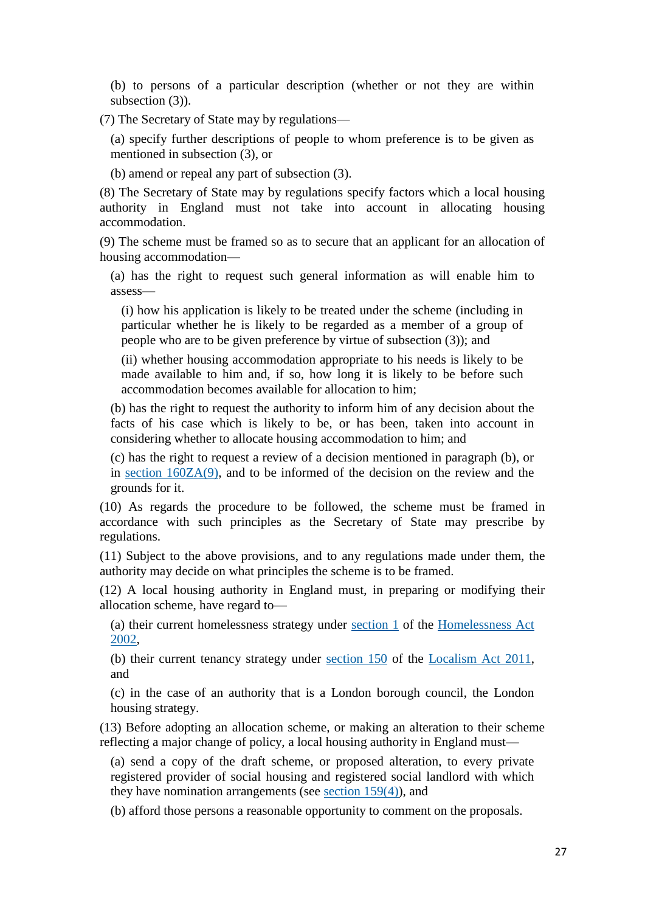(b) to persons of a particular description (whether or not they are within subsection (3)).

(7) The Secretary of State may by regulations—

(a) specify further descriptions of people to whom preference is to be given as mentioned in subsection (3), or

(b) amend or repeal any part of subsection (3).

(8) The Secretary of State may by regulations specify factors which a local housing authority in England must not take into account in allocating housing accommodation.

(9) The scheme must be framed so as to secure that an applicant for an allocation of housing accommodation—

(a) has the right to request such general information as will enable him to assess—

(i) how his application is likely to be treated under the scheme (including in particular whether he is likely to be regarded as a member of a group of people who are to be given preference by virtue of subsection (3)); and

(ii) whether housing accommodation appropriate to his needs is likely to be made available to him and, if so, how long it is likely to be before such accommodation becomes available for allocation to him;

(b) has the right to request the authority to inform him of any decision about the facts of his case which is likely to be, or has been, taken into account in considering whether to allocate housing accommodation to him; and

(c) has the right to request a review of a decision mentioned in paragraph (b), or in [section 160ZA\(9\),](http://login.westlaw.co.uk/maf/wluk/ext/app/document?src=doc&linktype=ref&context=219&crumb-action=replace&docguid=I7A41C860208B11E1859CFE691AC2A626) and to be informed of the decision on the review and the grounds for it.

(10) As regards the procedure to be followed, the scheme must be framed in accordance with such principles as the Secretary of State may prescribe by regulations.

(11) Subject to the above provisions, and to any regulations made under them, the authority may decide on what principles the scheme is to be framed.

(12) A local housing authority in England must, in preparing or modifying their allocation scheme, have regard to—

(a) their current homelessness strategy under [section 1](http://login.westlaw.co.uk/maf/wluk/ext/app/document?src=doc&linktype=ref&context=219&crumb-action=replace&docguid=I67383900E45211DA8D70A0E70A78ED65) of the [Homelessness Act](http://login.westlaw.co.uk/maf/wluk/ext/app/document?src=doc&linktype=ref&context=219&crumb-action=replace&docguid=I5FA13680E42311DAA7CF8F68F6EE57AB)  [2002,](http://login.westlaw.co.uk/maf/wluk/ext/app/document?src=doc&linktype=ref&context=219&crumb-action=replace&docguid=I5FA13680E42311DAA7CF8F68F6EE57AB)

(b) their current tenancy strategy under [section 150](http://login.westlaw.co.uk/maf/wluk/ext/app/document?src=doc&linktype=ref&context=219&crumb-action=replace&docguid=ID7BA7A5014C911E19E5AF8480E3EF42C) of the [Localism Act 2011,](http://login.westlaw.co.uk/maf/wluk/ext/app/document?src=doc&linktype=ref&context=219&crumb-action=replace&docguid=I9AA4F73014C911E1A6718D7CED27531D) and

(c) in the case of an authority that is a London borough council, the London housing strategy.

(13) Before adopting an allocation scheme, or making an alteration to their scheme reflecting a major change of policy, a local housing authority in England must—

(a) send a copy of the draft scheme, or proposed alteration, to every private registered provider of social housing and registered social landlord with which they have nomination arrangements (see [section 159\(4\)\)](http://login.westlaw.co.uk/maf/wluk/ext/app/document?src=doc&linktype=ref&context=219&crumb-action=replace&docguid=I295B0070E44F11DA8D70A0E70A78ED65), and

(b) afford those persons a reasonable opportunity to comment on the proposals.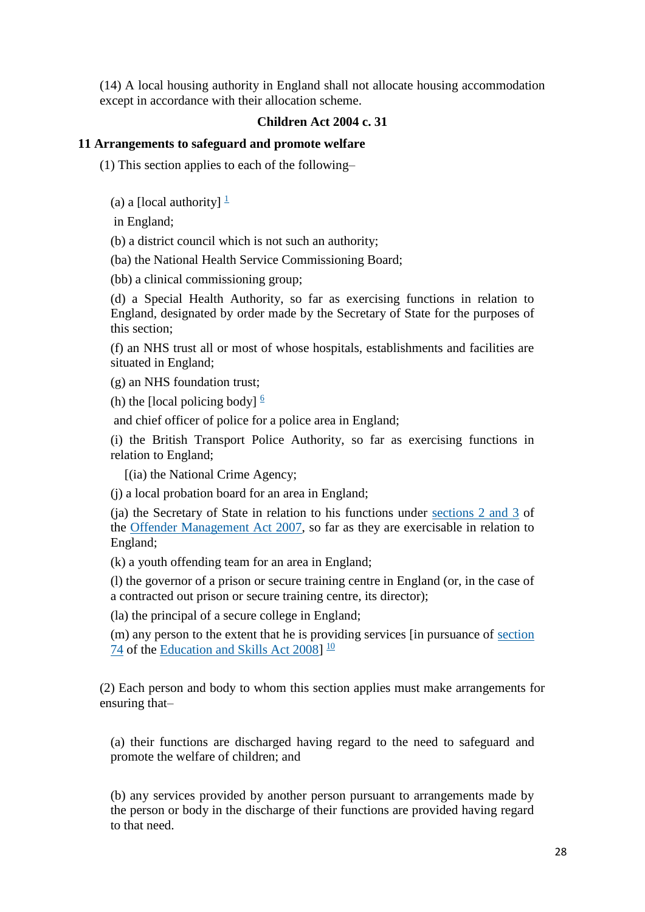(14) A local housing authority in England shall not allocate housing accommodation except in accordance with their allocation scheme.

# **Children Act 2004 c. 31**

### **11 Arrangements to safeguard and promote welfare**

(1) This section applies to each of the following–

(a) a [local authority]  $\frac{1}{1}$  $\frac{1}{1}$  $\frac{1}{1}$ 

in England;

(b) a district council which is not such an authority;

(ba) the National Health Service Commissioning Board;

(bb) a clinical commissioning group;

(d) a Special Health Authority, so far as exercising functions in relation to England, designated by order made by the Secretary of State for the purposes of this section;

(f) an NHS trust all or most of whose hospitals, establishments and facilities are situated in England;

(g) an NHS foundation trust;

(h) the [local policing body]  $\frac{6}{5}$  $\frac{6}{5}$  $\frac{6}{5}$ 

and chief officer of police for a police area in England;

(i) the British Transport Police Authority, so far as exercising functions in relation to England;

[(ia) the National Crime Agency;

(j) a local probation board for an area in England;

(ja) the Secretary of State in relation to his functions under [sections 2 and 3](http://login.westlaw.co.uk/maf/wluk/ext/app/document?src=doc&linktype=ref&context=242&crumb-action=replace&docguid=IB510BCA048AC11DCB029F9561A6CCE51) of the [Offender Management Act 2007,](http://login.westlaw.co.uk/maf/wluk/ext/app/document?src=doc&linktype=ref&context=242&crumb-action=replace&docguid=IDC1E68F0487B11DC94188F96D9A05541) so far as they are exercisable in relation to England;

(k) a youth offending team for an area in England;

(l) the governor of a prison or secure training centre in England (or, in the case of a contracted out prison or secure training centre, its director);

(la) the principal of a secure college in England;

(m) any person to the extent that he is providing services [in pursuance of [section](http://login.westlaw.co.uk/maf/wluk/ext/app/document?src=doc&linktype=ref&context=242&crumb-action=replace&docguid=I69912F00BF0F11DDA9E4C5B8EC4DCC32)  [74](http://login.westlaw.co.uk/maf/wluk/ext/app/document?src=doc&linktype=ref&context=242&crumb-action=replace&docguid=I69912F00BF0F11DDA9E4C5B8EC4DCC32) of the [Education and Skills Act 2008\]](http://login.westlaw.co.uk/maf/wluk/ext/app/document?src=doc&linktype=ref&context=242&crumb-action=replace&docguid=I1C4A7C30BF0811DD88DFA0A536C87AFA)  $\frac{10}{10}$  $\frac{10}{10}$  $\frac{10}{10}$ 

(2) Each person and body to whom this section applies must make arrangements for ensuring that–

(a) their functions are discharged having regard to the need to safeguard and promote the welfare of children; and

(b) any services provided by another person pursuant to arrangements made by the person or body in the discharge of their functions are provided having regard to that need.